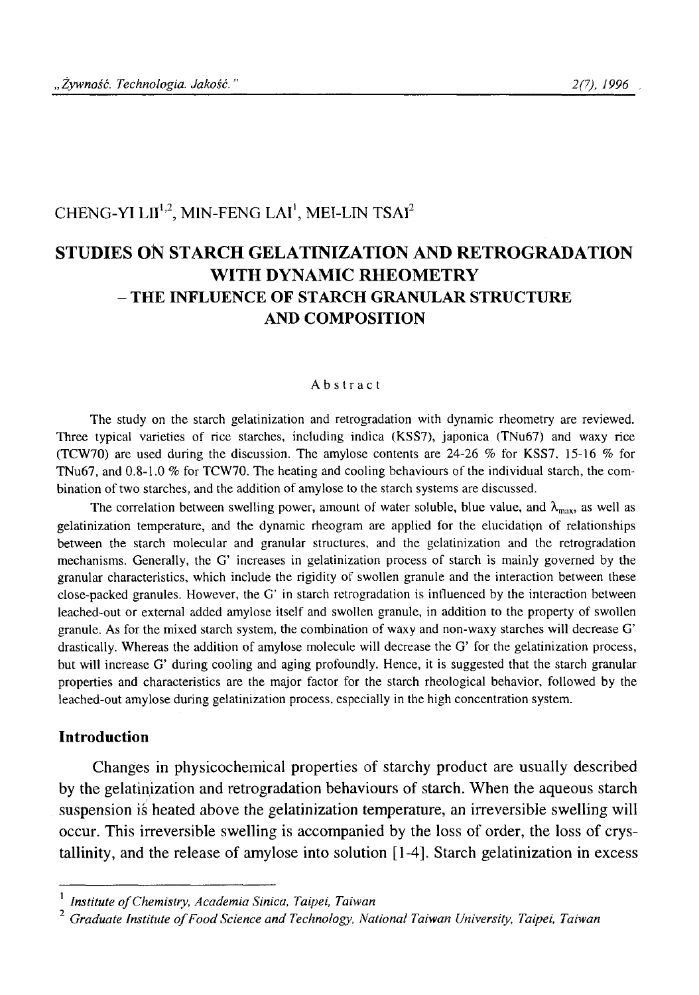# CHENG-YI LII<sup>1,2</sup>, MIN-FENG LAI<sup>1</sup>, MEI-LIN TSAI<sup>2</sup>

# **STUDIES ON STARCH GELATINIZATION AND RETROGRADATION WITH DYNAMIC RHEOMETRY - THE INFLUENCE OF STARCH GRANULAR STRUCTURE AND COMPOSITION**

#### Abstract

**The study on the starch gelatinization and retrogradation with dynamic rheometry are reviewed. Three typical varieties of rice starches, including indica (KSS7), japonica (TNu67) and waxy rice (TCW70) are used during the discussion. The amylose contents are 24-26** *%* **for KSS7. 15-16 % for TNu67, and 0.8-1.0 % for TCW70. The heating and cooling behaviours of the individual starch, the combination of two starches, and the addition of amylose to the starch systems are discussed.**

The correlation between swelling power, amount of water soluble, blue value, and  $\lambda_{\text{max}}$ , as well as **gelatinization temperature, and the dynamic rheogram are applied for the elucidatięm of relationships between the starch molecular and granular structures, and the gelatinization and the retrogradation mechanisms. Generally, the G' increases in gelatinization process of starch is mainly governed by the granular characteristics, which include the rigidity of swollen granule and the interaction between these close-packed granules. However, the G' in starch retrogradation is influenced by the interaction between leached-out or external added amylose itself and swollen granule, in addition to the property of swollen granule. As for the mixed starch system, the combination of waxy and non-waxy starches will decrease G' drastically. Whereas the addition of amylose molecule will decrease the G' for the gelatinization process, but will increase G' during cooling and aging profoundly. Hence, it is suggested that the starch granular properties and characteristics are the major factor for the starch rheological behavior, followed by the leached-out amylose during gelatinization process, especially in the high concentration system.**

### **Introduction**

Changes in physicochemical properties of starchy product are usually described by the gelatinization and retrogradation behaviours of starch. When the aqueous starch suspension is heated above the gelatinization temperature, an irreversible swelling will occur. This irreversible swelling is accompanied by the loss of order, the loss of crystallinity, and the release of amylose into solution [1-4]. Starch gelatinization in excess

<sup>1</sup> *Institute o f Chemistry, Academia Sinica, Taipei, Taiwan*

<sup>&</sup>lt;sup>2</sup> Graduate Institute of Food Science and Technology, National Taiwan University, Taipei, Taiwan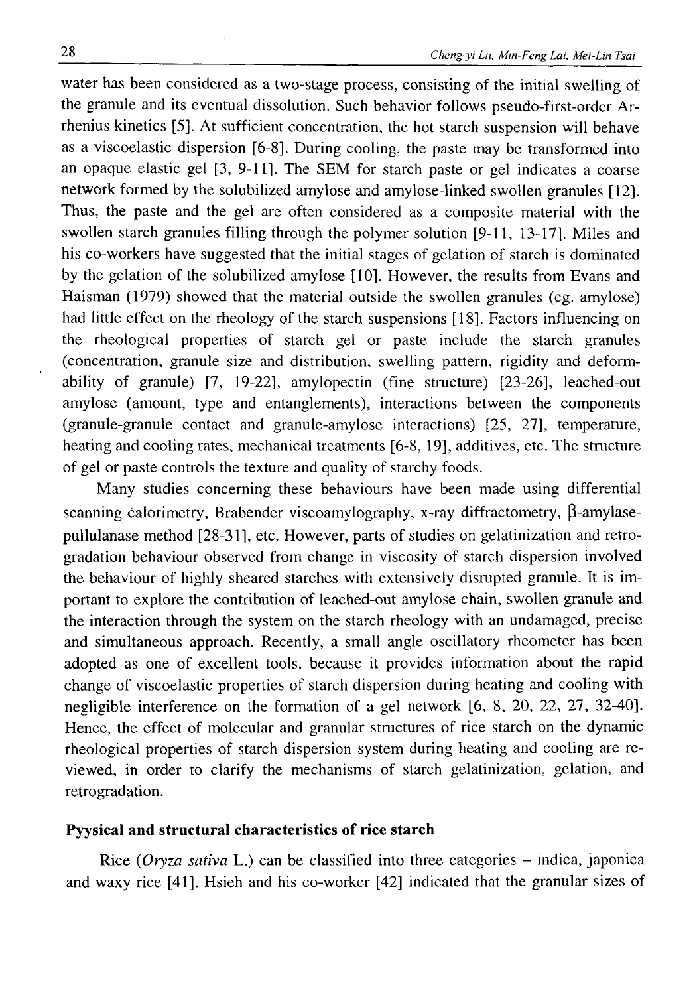water has been considered as a two-stage process, consisting of the initial swelling of the granule and its eventual dissolution. Such behavior follows pseudo-first-order Arrhenius kinetics [5]. At sufficient concentration, the hot starch suspension will behave as a viscoelastic dispersion [6-8]. During cooling, the paste may be transformed into an opaque elastic gel [3, 9-11]. The SEM for starch paste or gel indicates a coarse network formed by the solubilized amylose and amylose-linked swollen granules [12]. Thus, the paste and the gel are often considered as a composite material with the swollen starch granules filling through the polymer solution [9-11, 13-17]. Miles and his co-workers have suggested that the initial stages of gelation of starch is dominated by the gelation of the solubilized amylose [10]. However, the results from Evans and Haisman (1979) showed that the material outside the swollen granules (eg. amylose) had little effect on the rheology of the starch suspensions [18]. Factors influencing on the rheological properties of starch gel or paste include the starch granules (concentration, granule size and distribution, swelling pattern, rigidity and deformability of granule) [7, 19-22], amylopectin (fine structure) [23-26], leached-out amylose (amount, type and entanglements), interactions between the components (granule-granule contact and granule-amylose interactions) [25, 27], temperature, heating and cooling rates, mechanical treatments [6-8, 19], additives, etc. The structure of gel or paste controls the texture and quality of starchy foods.

Many studies concerning these behaviours have been made using differential scanning calorimetry, Brabender viscoamylography, x-ray diffractometry,  $\beta$ -amylasepullulanase method [28-31], etc. However, parts of studies on gelatinization and retrogradation behaviour observed from change in viscosity of starch dispersion involved the behaviour of highly sheared starches with extensively disrupted granule. It is important to explore the contribution of leached-out amylose chain, swollen granule and the interaction through the system on the starch rheology with an undamaged, precise and simultaneous approach. Recently, a small angle oscillatory rheometer has been adopted as one of excellent tools, because it provides information about the rapid change of viscoelastic properties of starch dispersion during heating and cooling with negligible interference on the formation of a gel network [6, 8, 20, 22, 27, 32-40]. Hence, the effect of molecular and granular structures of rice starch on the dynamic rheological properties of starch dispersion system during heating and cooling are reviewed, in order to clarify the mechanisms of starch gelatinization, gelation, and retrogradation.

#### **Pyysical and structural characteristics of rice starch**

Rice (Oryza sativa L.) can be classified into three categories – indica, japonica and waxy rice [41]. Hsieh and his co-worker [42] indicated that the granular sizes of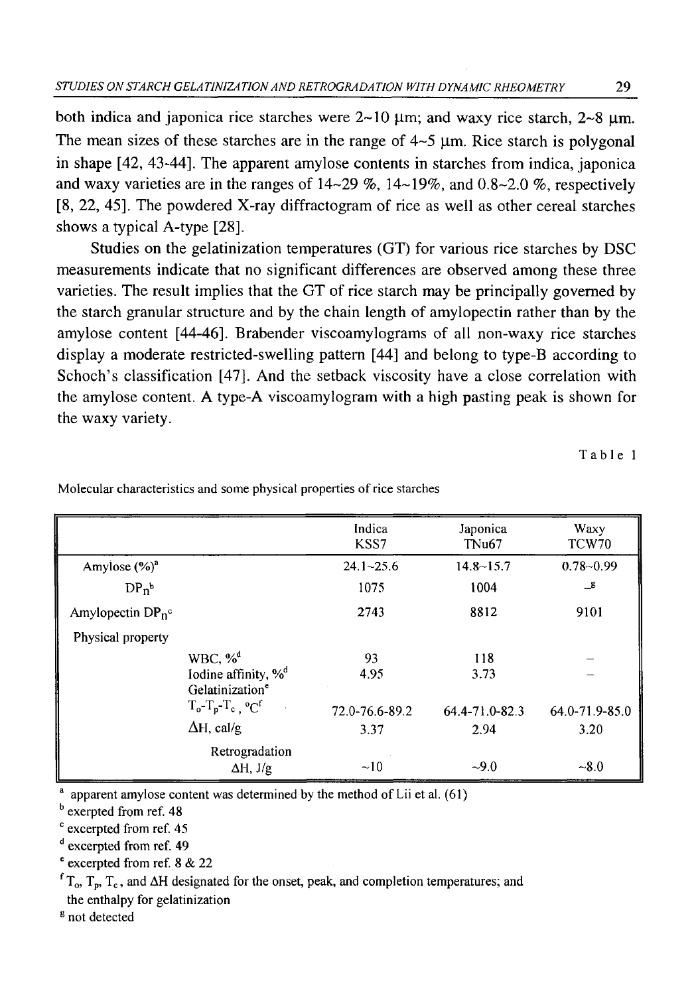both indica and japonica rice starches were  $2\nu$ -10  $\mu$ m; and waxy rice starch,  $2\nu$ -8  $\mu$ m. The mean sizes of these starches are in the range of  $4\neg 5$  µm. Rice starch is polygonal in shape [42, 43-44], The apparent amylose contents in starches from indica, japonica and waxy varieties are in the ranges of 14-29 %, 14-19%, and 0.8-2.0 %, respectively [8 , 22, 45]. The powdered X-ray diffractogram of rice as well as other cereal starches shows a typical A-type [28].

Studies on the gelatinization temperatures (GT) for various rice starches by DSC measurements indicate that no significant differences are observed among these three varieties. The result implies that the GT of rice starch may be principally governed by the starch granular structure and by the chain length of amylopectin rather than by the amylose content [44-46]. Brabender viscoamylograms of all non-waxy rice starches display a moderate restricted-swelling pattern [44] and belong to type-B according to Schoch's classification [47]. And the setback viscosity have a close correlation with the amylose content. A type-A viscoamylogram with a high pasting peak is shown for the waxy variety.

**Table 1**

|                      |                                                                | Indica<br>KSS7 | Japonica<br>TNu <sub>67</sub> | Waxy<br>TCW70  |
|----------------------|----------------------------------------------------------------|----------------|-------------------------------|----------------|
| Amylose $(\%)^a$     |                                                                | $24.1 - 25.6$  | $14.8 - 15.7$                 | $0.78 - 0.99$  |
| $DP_n^b$             |                                                                | 1075           | 1004                          | $\mathbf{r}$   |
| Amylopectin $DP_n^c$ |                                                                | 2743           | 8812                          | 9101           |
| Physical property    |                                                                |                |                               |                |
|                      | WBC, $\%^d$                                                    | 93             | 118                           |                |
|                      | Iodine affinity, % <sup>d</sup><br>Gelatinization <sup>e</sup> | 4.95           | 3.73                          |                |
|                      | $T_o - T_p - T_c$ , $^oC^f$                                    | 72.0-76.6-89.2 | 64.4-71.0-82.3                | 64.0-71.9-85.0 |
|                      | $\Delta H$ , cal/g                                             | 3.37           | 2.94                          | 3.20           |
|                      | Retrogradation<br>$\Delta H, J/g$                              | ~10            | $-9.0$                        | $-8.0$         |

**Molecular characteristics and some physical properties of rice starches**

**a apparent amylose content was determined by the method of Lii et al. (61)**

**b exerpted from ref. 48**

**c excerpted from ref. 45**

**d excerpted from ref. 49**

**e excerpted from ref.** 8 **&** 2 2

 $f_{\rm T_0}$ ,  $T_{\rm p}$ ,  $T_{\rm c}$ , and  $\Delta H$  designated for the onset, peak, and completion temperatures; and **the enthalpy for gelatinization**

8 **not detected**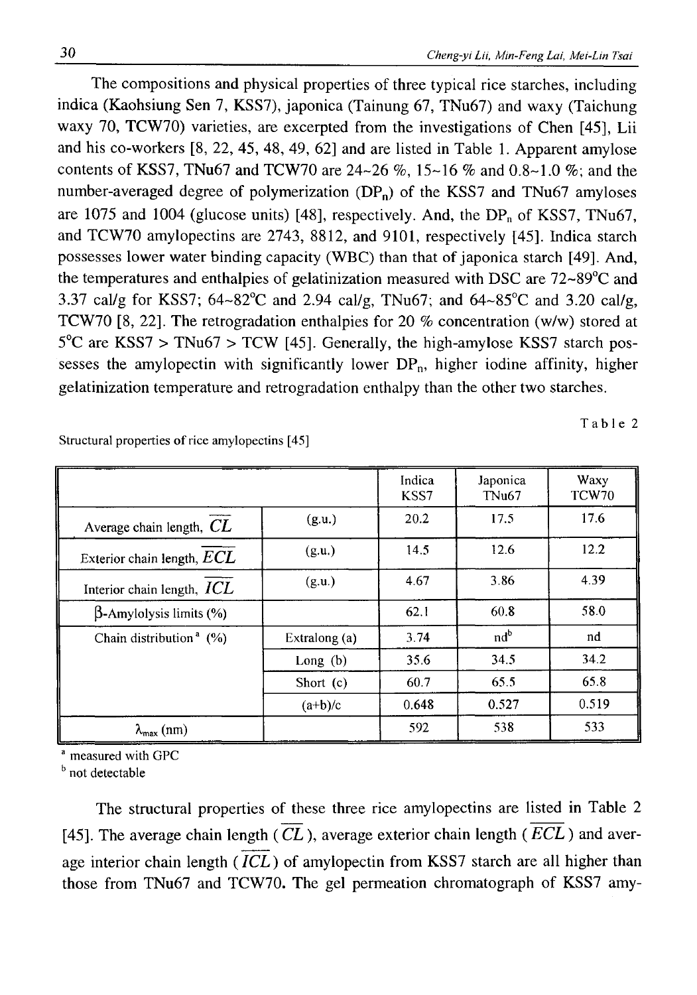The compositions and physical properties of three typical rice starches, including indica (Kaohsiung Sen 7, KSS7), japonica (Tainung 67, TNu67) and waxy (Taichung waxy 70, TCW70) varieties, are excerpted from the investigations of Chen [45], Lii and his co-workers [8 , 22, 45, 48, 49, 62] and are listed in Table 1. Apparent amylose contents of KSS7, TNu67 and TCW70 are  $24-26$  %,  $15-16$  % and  $0.8-1.0$  %; and the number-averaged degree of polymerization  $(DP_n)$  of the KSS7 and TNu67 amyloses are 1075 and 1004 (glucose units) [48], respectively. And, the  $DP_n$  of KSS7, TNu67, and TCW70 amylopectins are 2743, 8812, and 9101, respectively [45]. Indica starch possesses lower water binding capacity (WBC) than that of japonica starch [49]. And, the temperatures and enthalpies of gelatinization measured with DSC are 72~89°C and 3.37 cal/g for KSS7; 64~82°C and 2.94 cal/g, TNu67; and 64~85°C and 3.20 cal/g, TCW70 [8, 22]. The retrogradation enthalpies for 20 % concentration (w/w) stored at 5°C are KSS7 > TNu67 > TCW [45]. Generally, the high-amylose KSS7 starch possesses the amylopectin with significantly lower  $DP_n$ , higher iodine affinity, higher gelatinization temperature and retrogradation enthalpy than the other two starches.

**Table 2**

|                                       |               | Indica<br>KSS7 | Japonica<br>TNu <sub>67</sub> | Waxy<br>TCW70 |
|---------------------------------------|---------------|----------------|-------------------------------|---------------|
| Average chain length, $CL$            | (g.u.)        | 20.2           | 17.5                          | 17.6          |
| Exterior chain length, $ECL$          | (g.u.)        | 14.5           | 12.6                          | 12.2          |
| Interior chain length, $ICL$          | (g.u.)        | 4.67           | 3.86                          | 4.39          |
| $\beta$ -Amylolysis limits (%)        |               | 62.1           | 60.8                          | 58.0          |
| Chain distribution <sup>a</sup> $(%)$ | Extralong (a) | 3.74           | nd <sup>b</sup>               | nd            |
|                                       | Long $(b)$    | 35.6           | 34.5                          | 34.2          |
|                                       | Short $(c)$   | 60.7           | 65.5                          | 65.8          |
|                                       | $(a+b)/c$     | 0.648          | 0.527                         | 0.519         |
| $\lambda_{\max}$ (nm)                 |               | 592            | 538                           | 533           |

**Structural properties of rice amylopectins [45]**

**a measured with GPC**

**b not detectable**

The structural properties of these three rice amylopectins are listed in Table 2 [45]. The average chain length ( $\overline{CL}$ ), average exterior chain length ( $\overline{ECL}$ ) and average interior chain length  $(\overline{ICL})$  of amylopectin from KSS7 starch are all higher than those from TNu67 and TCW70. The gel permeation chromatograph of KSS7 amy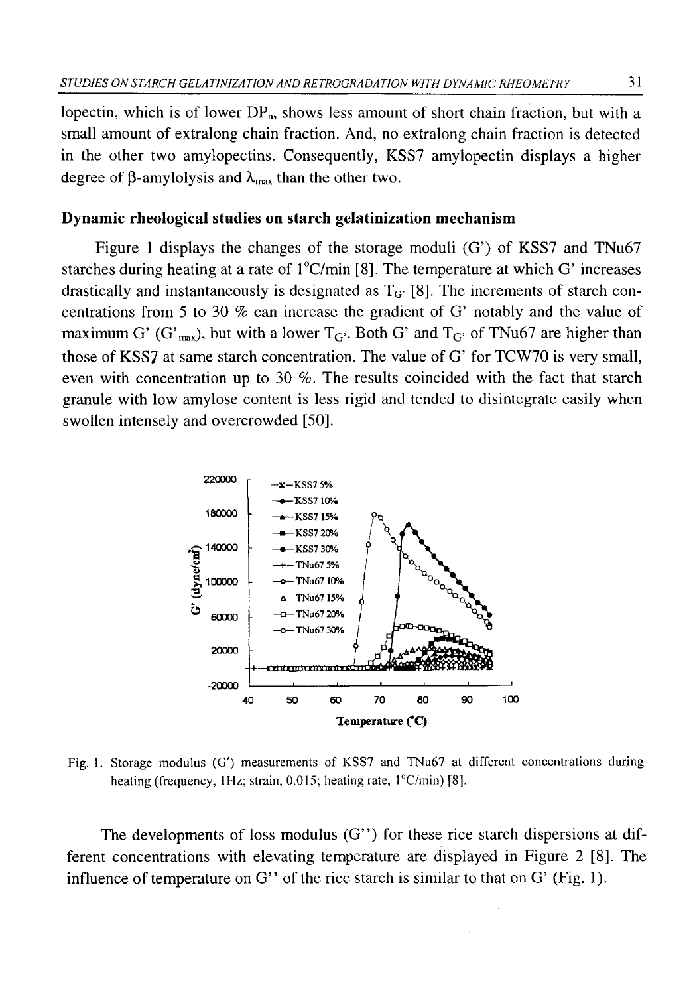lopectin, which is of lower  $DP_n$ , shows less amount of short chain fraction, but with a small amount of extralong chain fraction. And, no extralong chain fraction is detected in the other two amylopectins. Consequently, KSS7 amylopectin displays a higher degree of  $\beta$ -amylolysis and  $\lambda_{\text{max}}$  than the other two.

## **Dynamic rheological studies on starch gelatinization mechanism**

Figure 1 displays the changes of the storage moduli (G') of KSS7 and TNu67 starches during heating at a rate of  $1^{\circ}$ C/min [8]. The temperature at which G' increases drastically and instantaneously is designated as  $T<sub>G'</sub>$  [8]. The increments of starch concentrations from 5 to 30 % can increase the gradient of G' notably and the value of maximum G' (G'<sub>max</sub>), but with a lower  $T_{G}$ . Both G' and  $T_{G}$  of TNu67 are higher than those of KSS7 at same starch concentration. The value of G' for TCW70 is very small, even with concentration up to 30 %. The results coincided with the fact that starch granule with low amylose content is less rigid and tended to disintegrate easily when swollen intensely and overcrowded [50].



**Fig. 1. Storage modulus (G') measurements of KSS7 and TNu67 at different concentrations during heating (frequency, 1Hz; strain, 0.015; heating rate, l°C/min) [**<sup>8</sup> **],**

The developments of loss modulus  $(G'')$  for these rice starch dispersions at different concentrations with elevating temperature are displayed in Figure 2 [8 ]. The influence of temperature on G" of the rice starch is similar to that on G' (Fig. 1).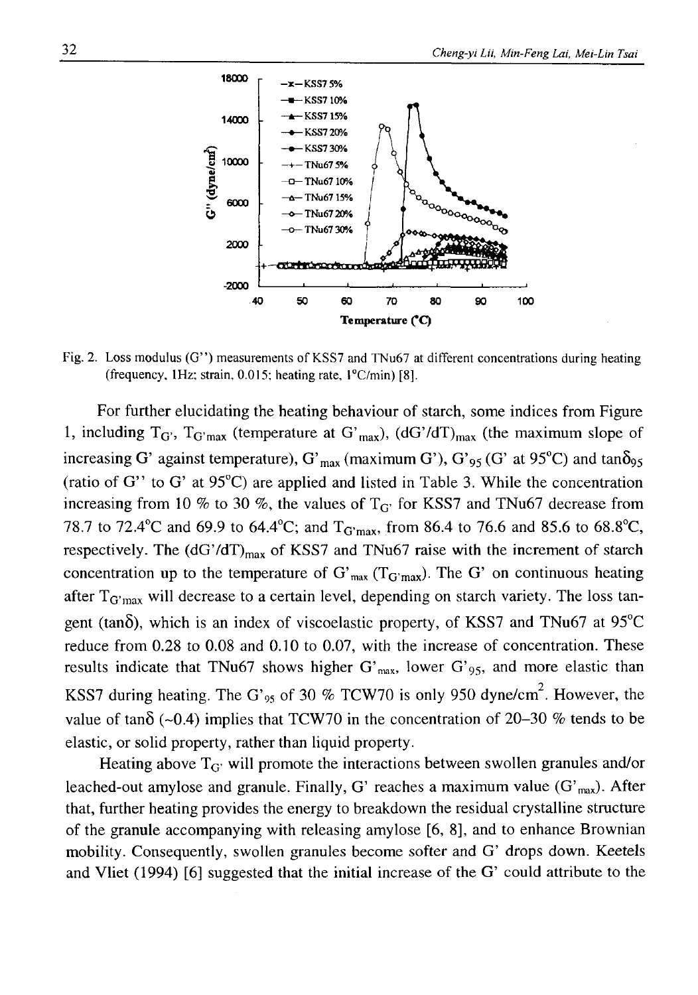

Fig. 2. Loss modulus (G") measurements of KSS7 and TNu67 at different concentrations during heating **(frequency, 1Hz; strain, 0.015; heating rate, l°C/min) [**<sup>8</sup> **].**

For further elucidating the heating behaviour of starch, some indices from Figure 1, including  $T_G$ ,  $T_G$ <sub>max</sub> (temperature at  $G'_{max}$ ), (dG'/dT)<sub>max</sub> (the maximum slope of increasing G' against temperature), G'<sub>max</sub> (maximum G'), G'<sub>95</sub> (G' at 95<sup>o</sup>C) and tan $\delta_{95}$ (ratio of G" to G' at 95°C) are applied and listed in Table 3. While the concentration increasing from 10 % to 30 %, the values of  $T_{G}$  for KSS7 and TNu67 decrease from 78.7 to 72.4 °C and 69.9 to 64.4 °C; and  $T_{G'max}$ , from 86.4 to 76.6 and 85.6 to 68.8 °C, respectively. The  $(dG'/dT)_{max}$  of KSS7 and TNu67 raise with the increment of starch concentration up to the temperature of  $G'_{max}$  ( $T_{G'max}$ ). The G' on continuous heating after  $T_{\text{G}'\text{max}}$  will decrease to a certain level, depending on starch variety. The loss tangent (tan $\delta$ ), which is an index of viscoelastic property, of KSS7 and TNu67 at 95 $^{\circ}$ C reduce from 0.28 to 0.08 and 0.10 to 0.07, with the increase of concentration. These results indicate that TNu67 shows higher G'<sub>max</sub>, lower G'<sub>95</sub>, and more elastic than KSS7 during heating. The G'<sub>95</sub> of 30 % TCW70 is only 950 dyne/cm<sup>2</sup>. However, the value of tan $\delta$  (~0.4) implies that TCW70 in the concentration of 20-30 % tends to be elastic, or solid property, rather than liquid property.

Heating above  $T_{\text{G}}$ ' will promote the interactions between swollen granules and/or leached-out amylose and granule. Finally, G' reaches a maximum value  $(G<sub>max</sub>)$ . After that, further heating provides the energy to breakdown the residual crystalline structure of the granule accompanying with releasing amylose [6 , 8 ], and to enhance Brownian mobility. Consequently, swollen granules become softer and G' drops down. Keetels and Vliet  $(1994)$  [6] suggested that the initial increase of the G' could attribute to the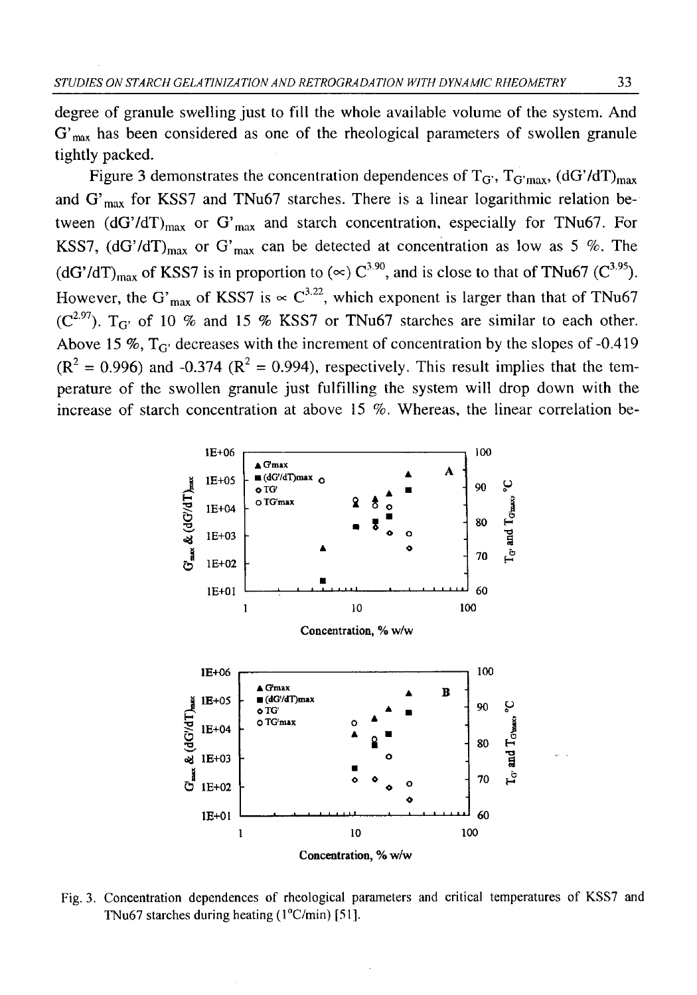degree of granule swelling just to fill the whole available volume of the system. And  $G'_{\text{max}}$  has been considered as one of the rheological parameters of swollen granule tightly packed.

Figure 3 demonstrates the concentration dependences of  $T_{\rm G}$ ,  $T_{\rm G'max}$ , (dG'/dT)<sub>max</sub> and  $G'_{max}$  for KSS7 and TNu67 starches. There is a linear logarithmic relation between  $(dG'/dT)_{max}$  or  $G'_{max}$  and starch concentration, especially for TNu67. For KSS7,  $(dG'/dT)_{max}$  or  $G'_{max}$  can be detected at concentration as low as 5 %. The  $(dG'/dT)_{max}$  of KSS7 is in proportion to  $(\infty) C^{3.90}$ , and is close to that of TNu67 (C<sup>3.95</sup>). However, the G'<sub>max</sub> of KSS7 is  $\propto$  C<sup>3.22</sup>, which exponent is larger than that of TNu67  $(C^{2.97})$ . T<sub>G'</sub> of 10 % and 15 % KSS7 or TNu67 starches are similar to each other. Above 15 %,  $T_{\text{G}}$  decreases with the increment of concentration by the slopes of -0.419  $(R^2 = 0.996)$  and  $-0.374$  ( $R^2 = 0.994$ ), respectively. This result implies that the temperature of the swollen granule just fulfilling the system will drop down with the increase of starch concentration at above 15 %. Whereas, the linear correlation be-



Fig. 3. Concentration dependences of rheological parameters and critical temperatures of KSS7 and **TNu67 starches during heating (l°C/min) [51].**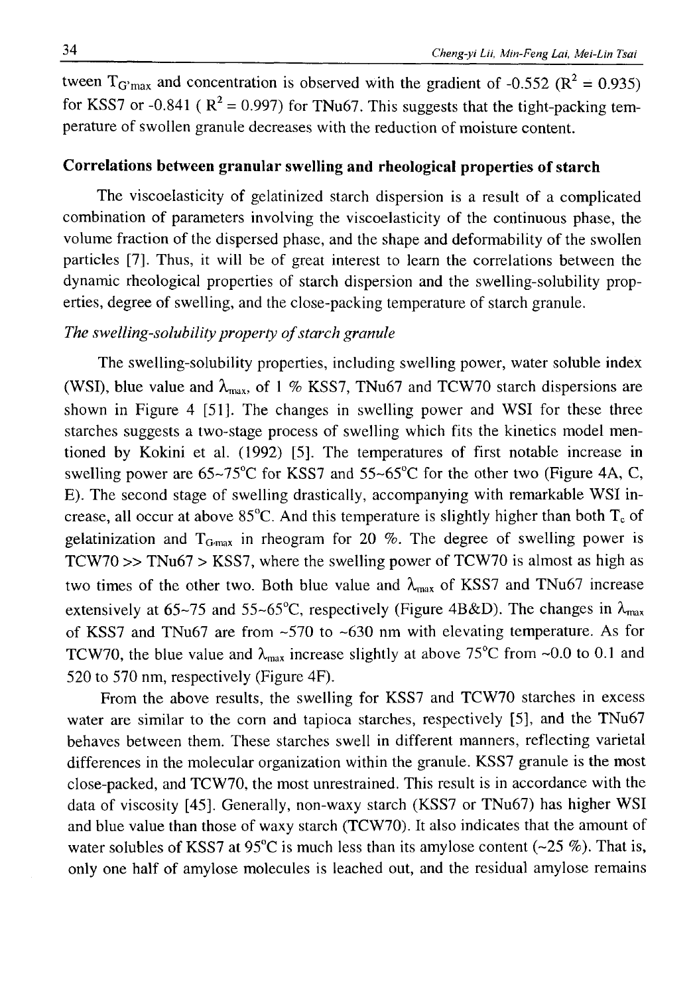tween  $T_{G'max}$  and concentration is observed with the gradient of -0.552 ( $R^2 = 0.935$ ) for KSS7 or -0.841 ( $R^2 = 0.997$ ) for TNu67. This suggests that the tight-packing temperature of swollen granule decreases with the reduction of moisture content.

## **Correlations between granular swelling and rheological properties of starch**

The viscoelasticity of gelatinized starch dispersion is a result of a complicated combination of parameters involving the viscoelasticity of the continuous phase, the volume fraction of the dispersed phase, and the shape and deformability of the swollen particles [7]. Thus, it will be of great interest to learn the correlations between the dynamic rheological properties of starch dispersion and the swelling-solubility properties, degree of swelling, and the close-packing temperature of starch granule.

## The swelling-solubility property of starch granule

The swelling-solubility properties, including swelling power, water soluble index (WSI), blue value and  $\lambda_{\text{max}}$ , of 1 % KSS7, TNu67 and TCW70 starch dispersions are shown in Figure 4 [51]. The changes in swelling power and WSI for these three starches suggests a two-stage process of swelling which fits the kinetics model mentioned by Kokini et al. (1992) [5], The temperatures of first notable increase in swelling power are  $65~\text{--}75^{\circ}\text{C}$  for KSS7 and  $55~\text{--}65^{\circ}\text{C}$  for the other two (Figure 4A, C, E). The second stage of swelling drastically, accompanying with remarkable WSI increase, all occur at above 85 $^{\circ}$ C. And this temperature is slightly higher than both  $T_c$  of gelatinization and  $T_{Gmax}$  in rheogram for 20 %. The degree of swelling power is TCW70  $\gg$  TNu67  $>$  KSS7, where the swelling power of TCW70 is almost as high as two times of the other two. Both blue value and  $\lambda_{\text{max}}$  of KSS7 and TNu67 increase extensively at 65~75 and 55~65°C, respectively (Figure 4B&D). The changes in  $\lambda_{\text{max}}$ of KSS7 and TNu67 are from -570 to -630 nm with elevating temperature. As for TCW70, the blue value and  $\lambda_{\text{max}}$  increase slightly at above 75°C from ~0.0 to 0.1 and 520 to 570 nm, respectively (Figure 4F).

From the above results, the swelling for KSS7 and TCW70 starches in excess water are similar to the com and tapioca starches, respectively [5], and the TNu67 behaves between them. These starches swell in different manners, reflecting varietal differences in the molecular organization within the granule. KSS7 granule is the most close-packed, and TCW70, the most unrestrained. This result is in accordance with the data of viscosity [45], Generally, non-waxy starch (KSS7 or TNu67) has higher WSI and blue value than those of waxy starch (TCW70). It also indicates that the amount of water solubles of KSS7 at  $95^{\circ}$ C is much less than its amylose content ( $\sim$ 25 %). That is, only one half of amylose molecules is leached out, and the residual amylose remains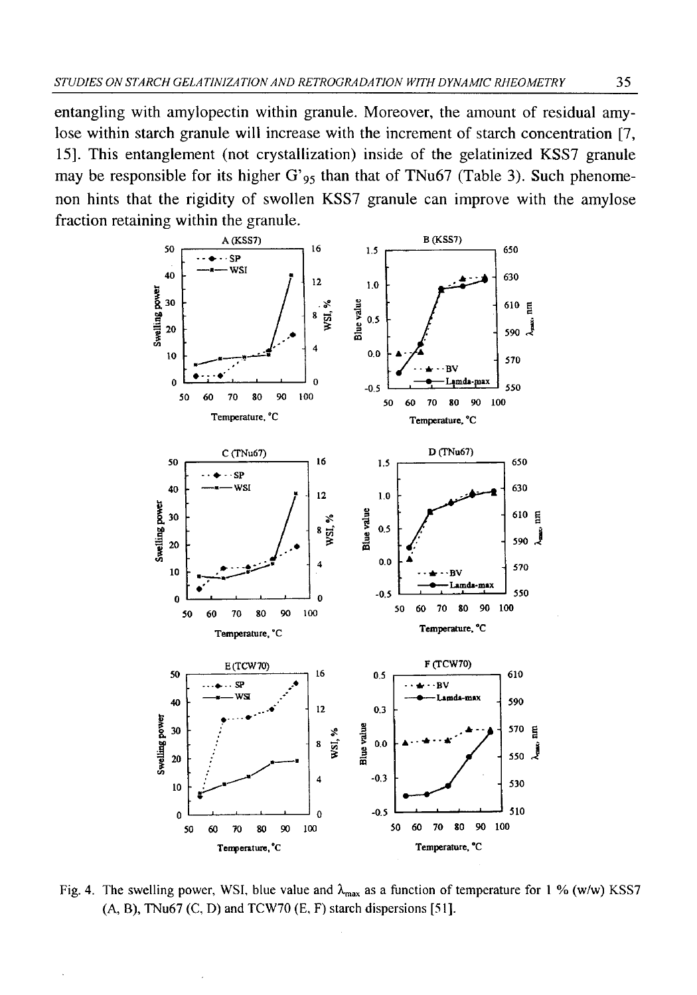entangling with amylopectin within granule. Moreover, the amount of residual amylose within starch granule will increase with the increment of starch concentration [7, 15]. This entanglement (not crystallization) inside of the gelatinized KSS7 granule may be responsible for its higher  $G'_{95}$  than that of TNu67 (Table 3). Such phenomenon hints that the rigidity of swollen KSS7 granule can improve with the amylose fraction retaining within the granule.



Fig. 4. The swelling power, WSI, blue value and  $\lambda_{\text{max}}$  as a function of temperature for 1 % (w/w) KSS7 **(A, B), TNu67 (C, D) and TCW70 (E, F) starch dispersions [51].**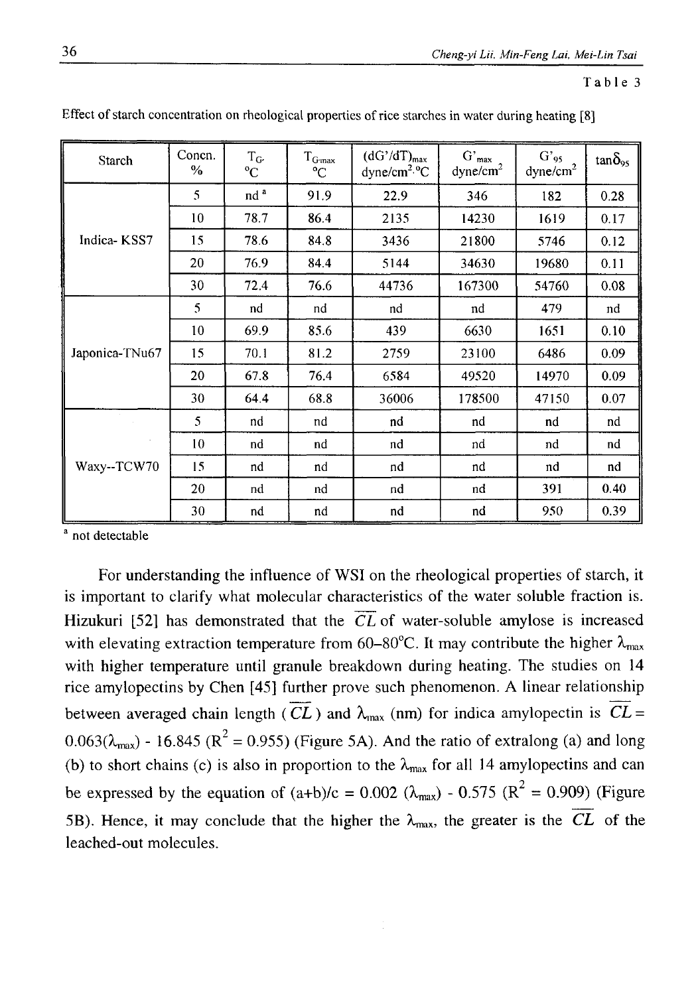## **Table 3**

| <b>Starch</b>  | Concn.<br>$\frac{0}{6}$ | $T_{G'}$<br>$\rm ^{o}C$ | $T_{\rm G\text{-}max}$<br>$^{\circ}C$ | $(dG'/dT)_{max}$<br>dyne/cm <sup>2.6</sup> C | $\mathrm{G}^\prime{}_{\mathsf{max}}$<br>dyne/cm <sup>2</sup> | $G′_{95}$<br>dyne/cm <sup>2</sup> | $tan\delta_{95}$ |
|----------------|-------------------------|-------------------------|---------------------------------------|----------------------------------------------|--------------------------------------------------------------|-----------------------------------|------------------|
|                | 5                       | nd <sup>a</sup>         | 91.9                                  | 22.9                                         | 346                                                          | 182                               | 0.28             |
|                | 10                      | 78.7                    | 86.4                                  | 2135                                         | 14230                                                        | 1619                              | 0.17             |
| Indica-KSS7    | 15                      | 78.6                    | 84.8                                  | 3436                                         | 21800                                                        | 5746                              | 0.12             |
|                | 20                      | 76.9                    | 84.4                                  | 5144                                         | 34630                                                        | 19680                             | 0.11             |
|                | 30                      | 72.4                    | 76.6                                  | 44736                                        | 167300                                                       | 54760                             | 0.08             |
|                | 5                       | nd                      | nd                                    | nd                                           | nd                                                           | 479                               | nd               |
| Japonica-TNu67 | 10                      | 69.9                    | 85.6                                  | 439                                          | 6630                                                         | 1651                              | 0.10             |
|                | 15                      | 70.1                    | 81.2                                  | 2759                                         | 23100                                                        | 6486                              | 0.09             |
|                | 20                      | 67.8                    | 76.4                                  | 6584                                         | 49520                                                        | 14970                             | 0.09             |
|                | 30                      | 64.4                    | 68.8                                  | 36006                                        | 178500                                                       | 47150                             | 0.07             |
|                | 5                       | nd                      | nd                                    | nd                                           | nd                                                           | nd                                | nd               |
| Waxy--TCW70    | 10                      | nd                      | nd                                    | nd                                           | nd                                                           | nd                                | nd               |
|                | 15                      | nd                      | nd                                    | nd                                           | nd                                                           | nd                                | nd               |
|                | 20                      | nd                      | nd                                    | nd                                           | nd                                                           | 391                               | 0.40             |
|                | 30                      | nd                      | nd                                    | nd                                           | nd                                                           | 950                               | 0.39             |

**Effect of starch concentration on rheological properties of rice starches in water during heating [**<sup>8</sup> **]**

**a not detectable**

For understanding the influence of WSI on the rheological properties of starch, it is important to clarify what molecular characteristics of the water soluble fraction is. Hizukuri [52] has demonstrated that the *CL* of water-soluble amylose is increased with elevating extraction temperature from 60–80<sup>°</sup>C. It may contribute the higher  $\lambda_{\text{max}}$ with higher temperature until granule breakdown during heating. The studies on 14 rice amylopectins by Chen [45] further prove such phenomenon. A linear relationship between averaged chain length ( $\overline{CL}$ ) and  $\lambda_{\text{max}}$  (nm) for indica amylopectin is  $CL =$  $0.063(\lambda_{\text{max}})$  - 16.845 ( $\mathbb{R}^2$  = 0.955) (Figure 5A). And the ratio of extralong (a) and long (b) to short chains (c) is also in proportion to the  $\lambda_{\text{max}}$  for all 14 amylopectins and can be expressed by the equation of  $(a+b)/c = 0.002$  ( $\lambda_{max}$ ) - 0.575 ( $R^2 = 0.909$ ) (Figure 5B). Hence, it may conclude that the higher the  $\lambda_{\text{max}}$ , the greater is the  $\overline{CL}$  of the leached-out molecules.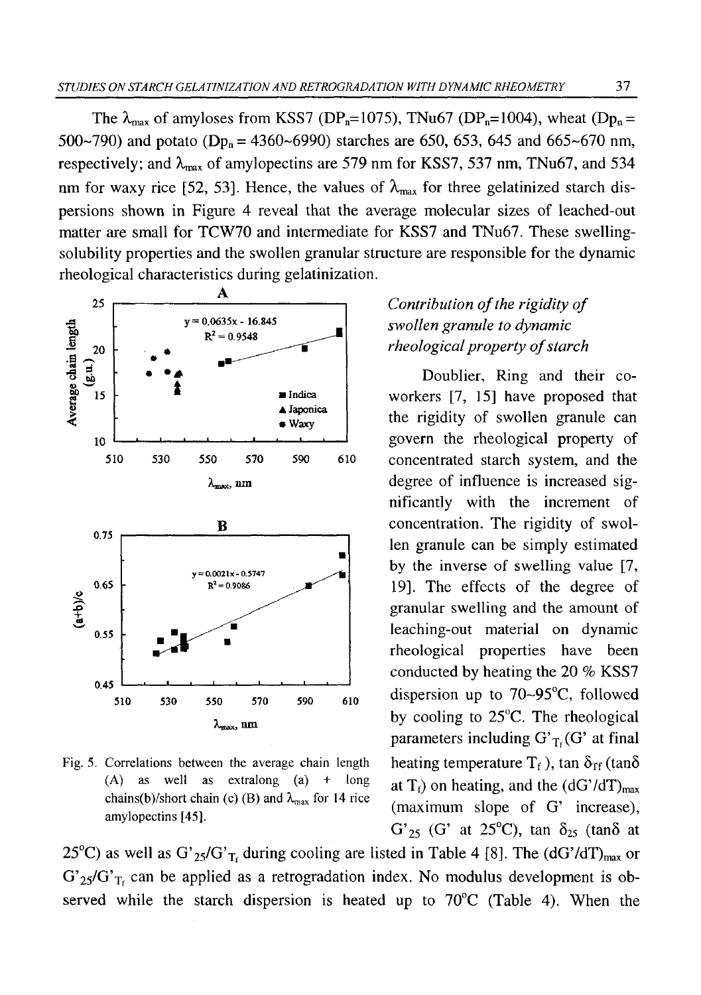The  $\lambda_{\text{max}}$  of amyloses from KSS7 (DP<sub>n</sub>=1075), TNu67 (DP<sub>n</sub>=1004), wheat (D<sub>Pn</sub>= 500~790) and potato (Dp<sub>n</sub> = 4360~6990) starches are 650, 653, 645 and 665~670 nm, respectively; and  $\lambda_{\text{max}}$  of amylopectins are 579 nm for KSS7, 537 nm, TNu67, and 534 nm for waxy rice [52, 53]. Hence, the values of  $\lambda_{\text{max}}$  for three gelatinized starch dispersions shown in Figure 4 reveal that the average molecular sizes of leached-out matter are small for TCW70 and intermediate for KSS7 and TNu67. These swellingsolubility properties and the swollen granular structure are responsible for the dynamic rheological characteristics during gelatinization.



**Fig. 5. Correlations between the average chain length (A) as well as extralong (a) + long** chains(b)/short chain (c) (B) and  $\lambda_{\text{max}}$  for 14 rice **amylopectins [45].**

# *Contribution of the rigidity of swollen granule to dynamic rheological property of starch*

Doublier, Ring and their coworkers [7, 15] have proposed that the rigidity of swollen granule can govern the rheological property of concentrated starch system, and the degree of influence is increased significantly with the increment of concentration. The rigidity of swollen granule can be simply estimated by the inverse of swelling value [7, 19]. The effects of the degree of granular swelling and the amount of leaching-out material on dynamic rheological properties have been conducted by heating the 20 % KSS7 dispersion up to 70~95°C, followed by cooling to 25°C. The rheological parameters including  $G'_{T}$  (G' at final heating temperature  $T_f$ ), tan  $\delta_{\text{rf}}$  (tan $\delta$ at  $T_f$ ) on heating, and the (dG'/dT)<sub>max</sub> (maximum slope of G' increase),  $G'_{25}$  (G' at 25<sup>o</sup>C), tan  $\delta_{25}$  (tan $\delta$  at

25<sup>°</sup>C) as well as G'<sub>25</sub>/G'<sub>T</sub>, during cooling are listed in Table 4 [8]. The (dG'/dT)<sub>max</sub> or  $G'_{25}/G'_{T_1}$  can be applied as a retrogradation index. No modulus development is observed while the starch dispersion is heated up to  $70^{\circ}$ C (Table 4). When the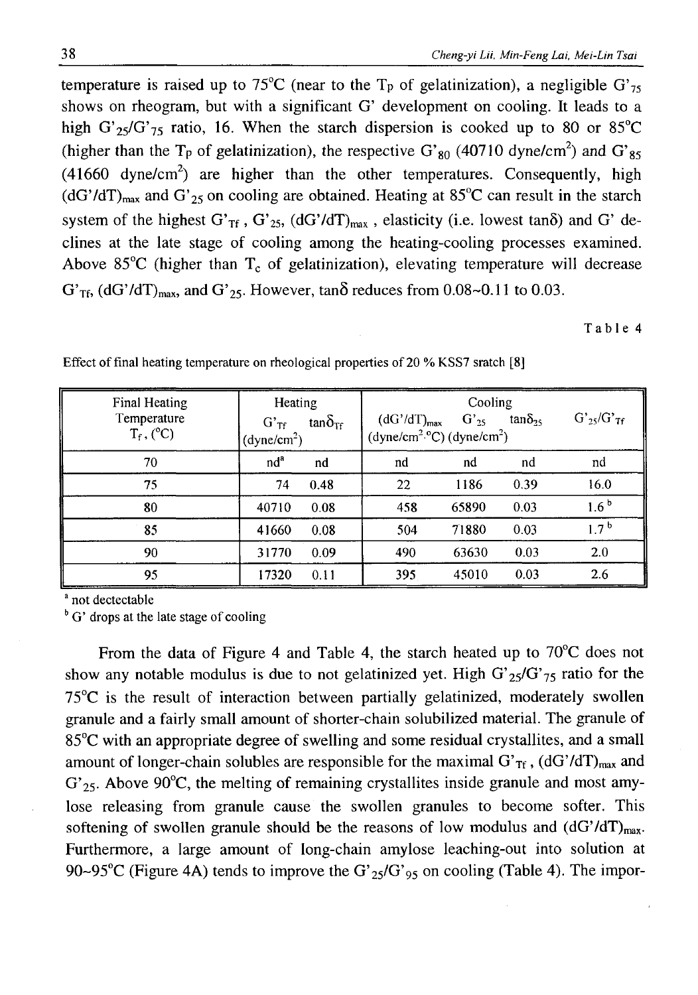temperature is raised up to 75<sup>°</sup>C (near to the T<sub>p</sub> of gelatinization), a negligible G'<sub>75</sub> shows on rheogram, but with a significant G' development on cooling. It leads to a high G'<sub>25</sub>/G'<sub>75</sub> ratio, 16. When the starch dispersion is cooked up to 80 or 85<sup>o</sup>C (higher than the T<sub>p</sub> of gelatinization), the respective G'<sub>80</sub> (40710 dyne/cm<sup>2</sup>) and G'<sub>85</sub>  $(41660 \text{ dyne/cm}^2)$  are higher than the other temperatures. Consequently, high  $(dG'/dT)_{max}$  and  $G'_{25}$  on cooling are obtained. Heating at 85°C can result in the starch system of the highest G'<sub>Tf</sub>, G'<sub>25</sub>, (dG'/dT)<sub>max</sub>, elasticity (i.e. lowest tan $\delta$ ) and G' declines at the late stage of cooling among the heating-cooling processes examined. Above 85 $^{\circ}$ C (higher than T<sub>c</sub> of gelatinization), elevating temperature will decrease  $G'_{Tf}$ , (dG'/dT)<sub>max</sub>, and G'<sub>25</sub>. However, tan $\delta$  reduces from 0.08~0.11 to 0.03.

**Table 4**

| Final Heating<br>Temperature<br>$T_f$ , (°C) | Heating<br>$tan\delta_{\text{TF}}$<br>$G'$ <sub>Tf</sub><br>(dyne/cm <sup>2</sup> ) | Cooling<br>$(dG'/dT)_{max}$<br>$G'_{25}$<br>$(dyne/cm2.°C) (dyne/cm2)$ | $G'_{25}/G'_{7f}$<br>tan $\delta_{25}$ |
|----------------------------------------------|-------------------------------------------------------------------------------------|------------------------------------------------------------------------|----------------------------------------|
| 70                                           | nd <sup>a</sup>                                                                     | nd                                                                     | nd                                     |
|                                              | nd                                                                                  | nd                                                                     | nd                                     |
| 75                                           | 0.48                                                                                | 1186                                                                   | 0.39                                   |
|                                              | 74                                                                                  | 22                                                                     | 16.0                                   |
| 80                                           | 40710                                                                               | 458                                                                    | 1.6 <sup>b</sup>                       |
|                                              | 0.08                                                                                | 65890                                                                  | 0.03                                   |
| 85                                           | 41660                                                                               | 504                                                                    | $1.7^{b}$                              |
|                                              | 0.08                                                                                | 71880                                                                  | 0.03                                   |
| 90                                           | 31770                                                                               | 490                                                                    | 2.0                                    |
|                                              | 0.09                                                                                | 63630                                                                  | 0.03                                   |
| 95                                           | 17320                                                                               | 395                                                                    | 2.6                                    |
|                                              | 0.11                                                                                | 45010                                                                  | 0.03                                   |

Effect of final heating temperature on rheological properties of 20 % KSS7 sratch [8]

**a not dectectable**

<sup>b</sup> G' drops at the late stage of cooling

From the data of Figure 4 and Table 4, the starch heated up to 70<sup>o</sup>C does not show any notable modulus is due to not gelatinized yet. High  $G_{25}/G_{75}$  ratio for the 75°C is the result of interaction between partially gelatinized, moderately swollen granule and a fairly small amount of shorter-chain solubilized material. The granule of 85°C with an appropriate degree of swelling and some residual crystallites, and a small amount of longer-chain solubles are responsible for the maximal G' $_{\text{Tf}}$ , (dG'/dT)<sub>max</sub> and  $G'_{25}$ . Above 90°C, the melting of remaining crystallites inside granule and most amylose releasing from granule cause the swollen granules to become softer. This softening of swollen granule should be the reasons of low modulus and  $(dG'/dT)_{max}$ . Furthermore, a large amount of long-chain amylose leaching-out into solution at 90~95°C (Figure 4A) tends to improve the G'<sub>25</sub>/G'<sub>95</sub> on cooling (Table 4). The impor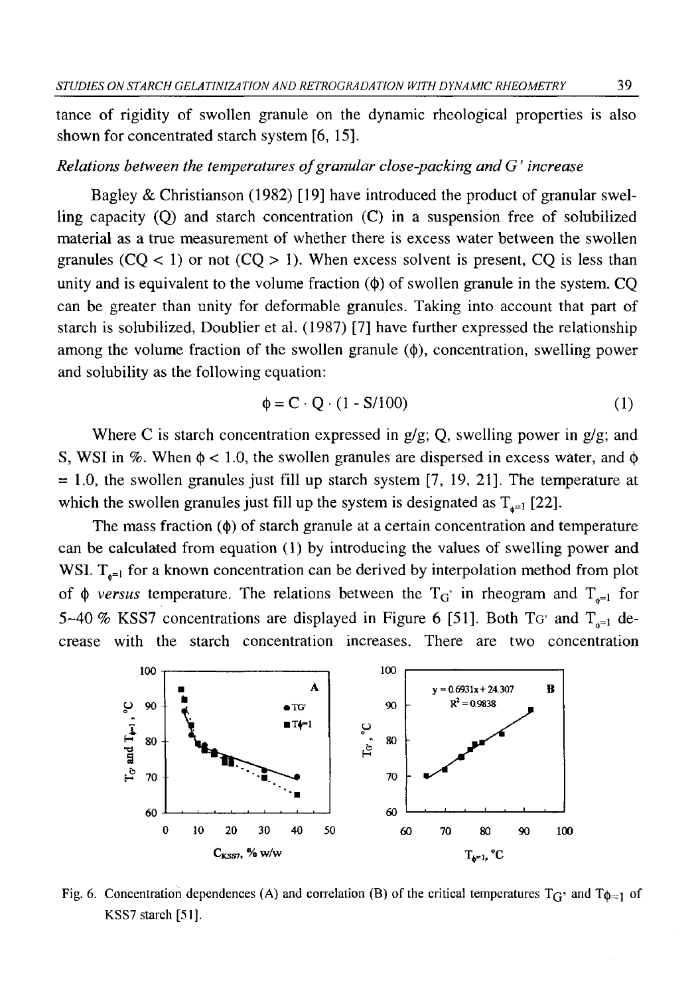tance of rigidity of swollen granule on the dynamic rheological properties is also shown for concentrated starch system [6, 15].

### *Relations between the temperatures of granular close-packing and G' increase*

Bagley & Christianson (1982) [19] have introduced the product of granular swelling capacity (Q) and starch concentration (C) in a suspension free of solubilized material as a true measurement of whether there is excess water between the swollen granules  $(CQ < 1)$  or not  $(CQ > 1)$ . When excess solvent is present, CQ is less than unity and is equivalent to the volume fraction  $(\phi)$  of swollen granule in the system. CO can be greater than unity for deformable granules. Taking into account that part of starch is solubilized, Doublier et al. (1987) [7] have further expressed the relationship among the volume fraction of the swollen granule  $(\phi)$ , concentration, swelling power and solubility as the following equation:

$$
\phi = \mathbf{C} \cdot \mathbf{Q} \cdot (1 - \mathbf{S}/100) \tag{1}
$$

Where C is starch concentration expressed in  $g/g$ ; Q, swelling power in  $g/g$ ; and S, WSI in  $\%$ . When  $\phi$  < 1.0, the swollen granules are dispersed in excess water, and  $\phi$  $= 1.0$ , the swollen granules just fill up starch system [7, 19, 21]. The temperature at which the swollen granules just fill up the system is designated as  $T_{\alpha=1}$  [22].

The mass fraction  $(\phi)$  of starch granule at a certain concentration and temperature can be calculated from equation ( 1) by introducing the values of swelling power and WSI.  $T_{n=1}$  for a known concentration can be derived by interpolation method from plot of  $\phi$  versus temperature. The relations between the T<sub>G</sub>' in rheogram and T<sub>a=1</sub> for 5~40 % KSS7 concentrations are displayed in Figure 6 [51]. Both TG' and  $T_{n=1}$  decrease with the starch concentration increases. There are two concentration



Fig. 6. Concentration dependences (A) and correlation (B) of the critical temperatures  $T_G$ <sup>,</sup> and  $T_{\phi=1}$  of **KSS7 starch [51],**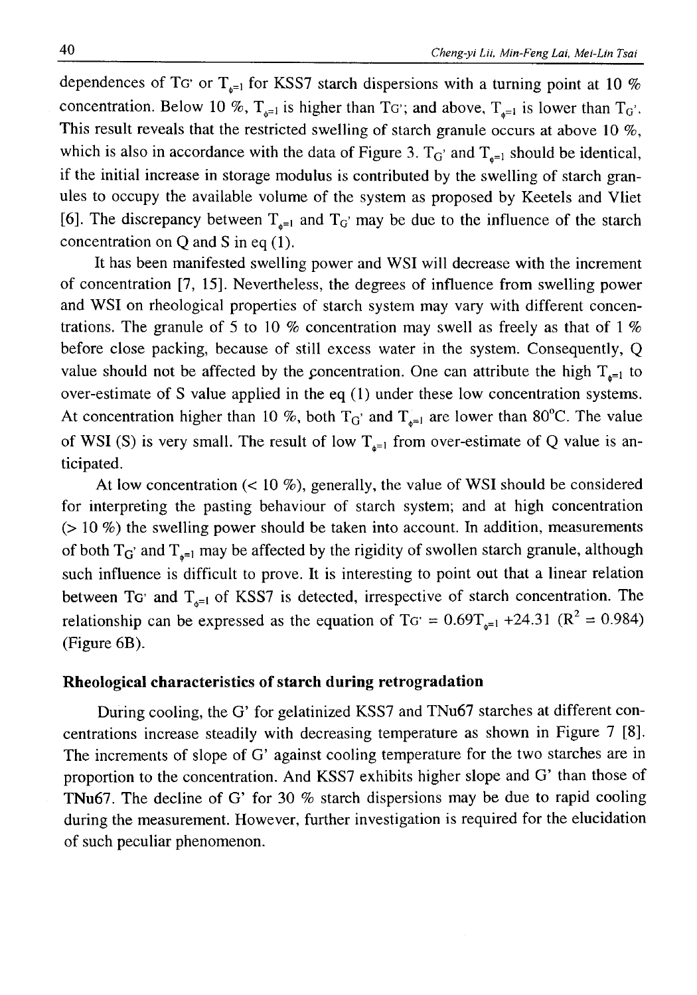dependences of TG' or  $T_{\phi=1}$  for KSS7 starch dispersions with a turning point at 10 % concentration. Below 10 %,  $T_{\alpha=1}$  is higher than TG'; and above,  $T_{\alpha=1}$  is lower than T<sub>G</sub>'. This result reveals that the restricted swelling of starch granule occurs at above 10 %, which is also in accordance with the data of Figure 3.  $T_G'$  and  $T_{e^{-1}}$  should be identical, if the initial increase in storage modulus is contributed by the swelling of starch granules to occupy the available volume of the system as proposed by Keetels and Vliet [6]. The discrepancy between  $T_{\phi^{-1}}$  and  $T_G'$  may be due to the influence of the starch concentration on Q and S in eq (1).

It has been manifested swelling power and WSI will decrease with the increment of concentration [7, 15]. Nevertheless, the degrees of influence from swelling power and WSI on rheological properties of starch system may vary with different concentrations. The granule of 5 to 10 % concentration may swell as freely as that of 1 % before close packing, because of still excess water in the system. Consequently, Q value should not be affected by the concentration. One can attribute the high  $T_{\alpha=1}$  to over-estimate of S value applied in the eq (1) under these low concentration systems. At concentration higher than 10 %, both  $T_G$  and  $T_{n=1}$  are lower than 80°C. The value of WSI (S) is very small. The result of low  $T_{n=1}$  from over-estimate of Q value is anticipated.

At low concentration  $(< 10\%$ ), generally, the value of WSI should be considered for interpreting the pasting behaviour of starch system; and at high concentration  $(> 10 \%)$  the swelling power should be taken into account. In addition, measurements of both  $T_G$  and  $T_{\varphi^{-1}}$  may be affected by the rigidity of swollen starch granule, although such influence is difficult to prove. It is interesting to point out that a linear relation between TG' and  $T_{\delta^{-1}}$  of KSS7 is detected, irrespective of starch concentration. The relationship can be expressed as the equation of TG' =  $0.69T_{\text{g}=1} +24.31$  (R<sup>2</sup> = 0.984) (Figure 6B).

## **Rheological characteristics of starch during retrogradation**

During cooling, the G' for gelatinized KSS7 and TNu67 starches at different concentrations increase steadily with decreasing temperature as shown in Figure 7 [8]. The increments of slope of G' against cooling temperature for the two starches are in proportion to the concentration. And KSS7 exhibits higher slope and G' than those of TNu67. The decline of G' for 30 *%* starch dispersions may be due to rapid cooling during the measurement. However, further investigation is required for the elucidation of such peculiar phenomenon.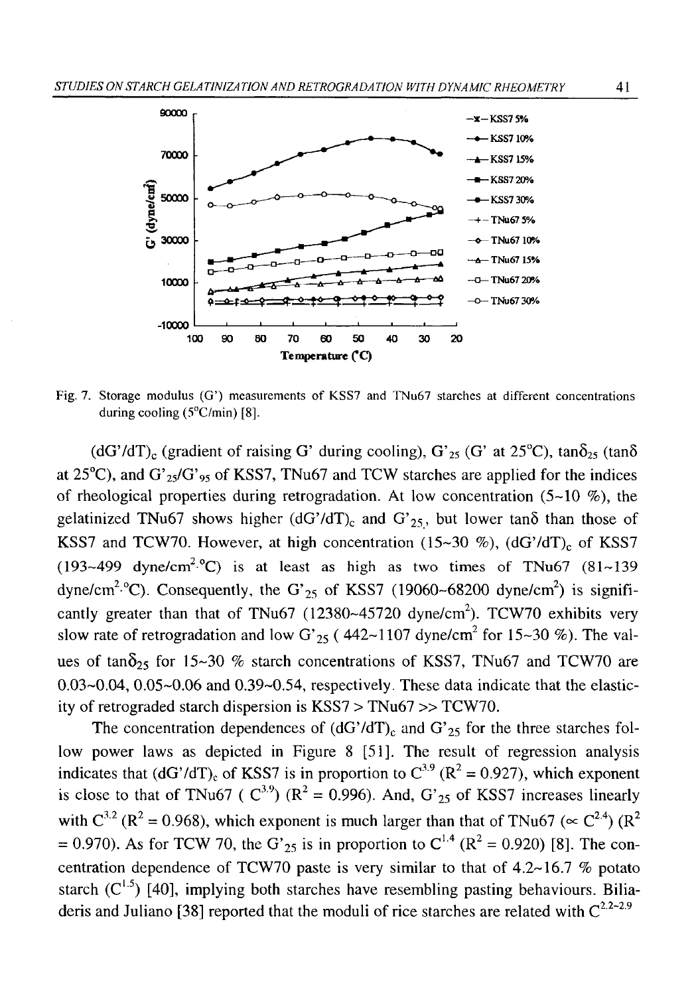

Fig. 7. Storage modulus (G') measurements of KSS7 and TNu67 starches at different concentrations during cooling (5<sup>o</sup>C/min) [8].

(dG'/dT)<sub>c</sub> (gradient of raising G' during cooling), G'<sub>25</sub> (G' at 25<sup>o</sup>C), tan $\delta_{25}$  (tan $\delta$ at  $25^{\circ}$ C), and  $G'_{25}/G'_{95}$  of KSS7, TNu67 and TCW starches are applied for the indices of rheological properties during retrogradation. At low concentration  $(5-10, \%)$ , the gelatinized TNu67 shows higher (dG'/dT)<sub>c</sub> and G'<sub>25</sub>, but lower tano than those of KSS7 and TCW70. However, at high concentration (15~30 %), (dG'/dT)<sub>c</sub> of KSS7 (193~499 dyne/cm<sup>2.o</sup>C) is at least as high as two times of TNu67 (81~139) dyne/cm<sup>2.o</sup>C). Consequently, the G'<sub>25</sub> of KSS7 (19060~68200 dyne/cm<sup>2</sup>) is significantly greater than that of TNu67 (12380~45720 dyne/cm<sup>2</sup>). TCW70 exhibits very slow rate of retrogradation and low G'<sub>25</sub> (442~1107 dyne/cm<sup>2</sup> for 15~30 %). The values of tan $\delta_{25}$  for 15~30 % starch concentrations of KSS7, TNu67 and TCW70 are  $0.03-0.04$ ,  $0.05-0.06$  and  $0.39-0.54$ , respectively. These data indicate that the elasticity of retrograded starch dispersion is KSS7 > TNu67 » TCW70.

The concentration dependences of  $(dG'/dT)_{c}$  and  $G'_{25}$  for the three starches follow power laws as depicted in Figure 8 [51]. The result of regression analysis indicates that (dG'/dT)<sub>c</sub> of KSS7 is in proportion to  $C^{3.9}$  (R<sup>2</sup> = 0.927), which exponent is close to that of TNu67 ( $C^{3.9}$ ) ( $R^2 = 0.996$ ). And,  $G'_{25}$  of KSS7 increases linearly with  $C^{3,2}$  (R<sup>2</sup> = 0.968), which exponent is much larger than that of TNu67 ( $\propto C^{2.4}$ ) (R<sup>2</sup>)  $= 0.970$ ). As for TCW 70, the G'<sub>25</sub> is in proportion to C<sup>1.4</sup> (R<sup>2</sup> = 0.920) [8]. The concentration dependence of TCW70 paste is very similar to that of  $4.2~16.7~\%$  potato starch  $(C^{1.5})$  [40], implying both starches have resembling pasting behaviours. Biliaderis and Juliano [38] reported that the moduli of rice starches are related with  $C^{2,2-2,9}$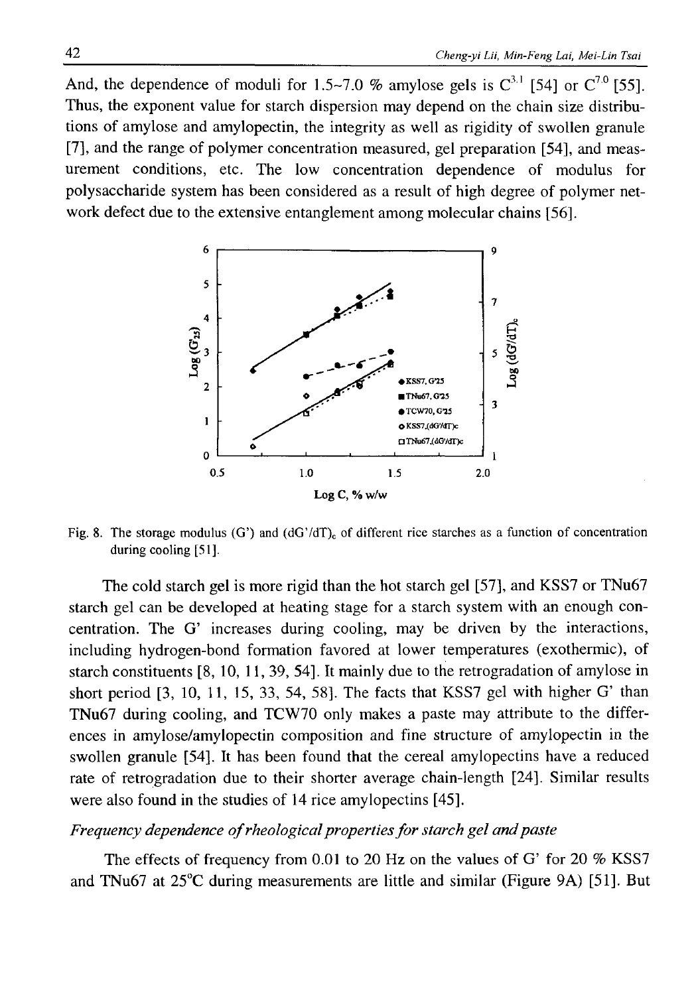And, the dependence of moduli for  $1.5 \sim 7.0$  % amylose gels is  $C^{3.1}$  [54] or  $C^{7.0}$  [55]. Thus, the exponent value for starch dispersion may depend on the chain size distributions of amylose and amylopectin, the integrity as well as rigidity of swollen granule [7], and the range of polymer concentration measured, gel preparation [54], and measurement conditions, etc. The low concentration dependence of modulus for polysaccharide system has been considered as a result of high degree of polymer network defect due to the extensive entanglement among molecular chains [56].



Fig. 8. The storage modulus (G') and  $(dG'/dT)_{c}$  of different rice starches as a function of concentration **during cooling [51].**

The cold starch gel is more rigid than the hot starch gel [57], and KSS7 or TNu67 starch gel can be developed at heating stage for a starch system with an enough concentration. The G' increases during cooling, may be driven by the interactions, including hydrogen-bond formation favored at lower temperatures (exothermic), of starch constituents [8, 10, 11, 39, 54]. It mainly due to the retrogradation of amylose in short period [3, 10, 11, 15, 33, 54, 58]. The facts that KSS7 gel with higher G' than TNu67 during cooling, and TCW70 only makes a paste may attribute to the differences in amylose/amylopectin composition and fine structure of amylopectin in the swollen granule [54]. It has been found that the cereal amylopectins have a reduced rate of retrogradation due to their shorter average chain-length [24], Similar results were also found in the studies of 14 rice amylopectins [45].

## *Frequency dependence of rheological properties for starch gel and paste*

The effects of frequency from 0.01 to 20 Hz on the values of G' for 20 *%* KSS7 and TNu67 at 25°C during measurements are little and similar (Figure 9A) [51]. But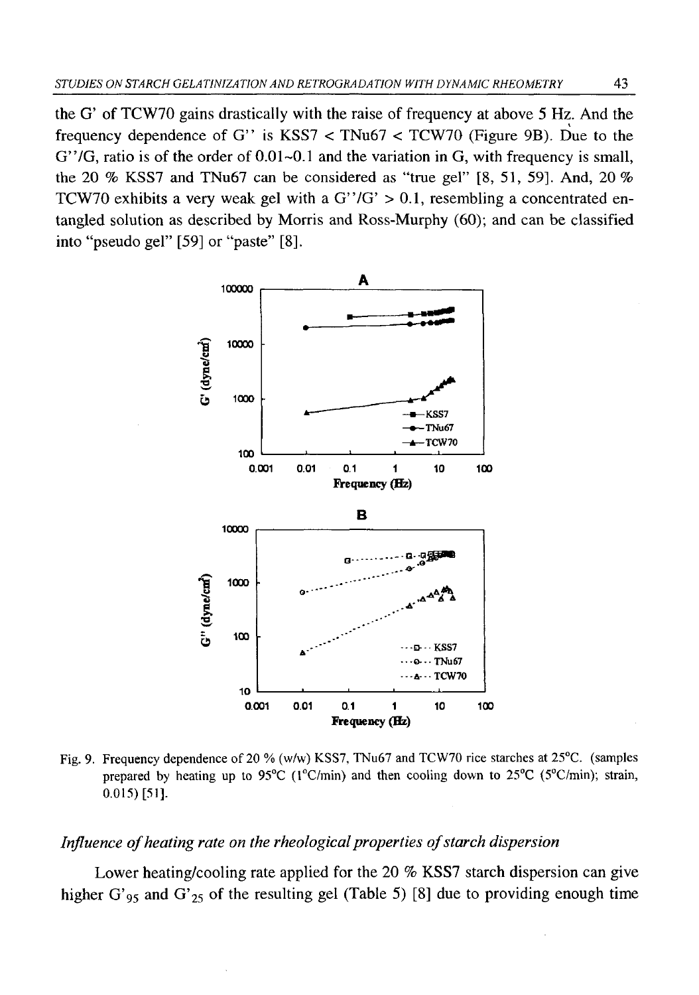the G' of TCW70 gains drastically with the raise of frequency at above 5 Hz. And the frequency dependence of G" is KSS7  $\lt$  TNu67  $\lt$  TCW70 (Figure 9B). Due to the  $G''/G$ , ratio is of the order of 0.01 $\neg$ 0.1 and the variation in G, with frequency is small, the 20 *%* KSS7 and TNu67 can be considered as "true gel" [8 , 51, 59]. And, 20 *%* TCW70 exhibits a very weak gel with a  $G''/G' > 0.1$ , resembling a concentrated entangled solution as described by Morris and Ross-Murphy (60); and can be classified into "pseudo gel" [59] or "paste" [8].



Fig. 9. Frequency dependence of 20 % (w/w) KSS7, TNu67 and TCW70 rice starches at 25<sup>o</sup>C. (samples **prepared by heating up to 95°C (l°C/min) and then cooling down to 25°C (5°C/min); strain, 0.015) [51].**

### *Influence of heating rate on the rheological properties of starch dispersion*

Lower heating/cooling rate applied for the 20 % KSS7 starch dispersion can give higher G'<sub>95</sub> and G'<sub>25</sub> of the resulting gel (Table 5) [8] due to providing enough time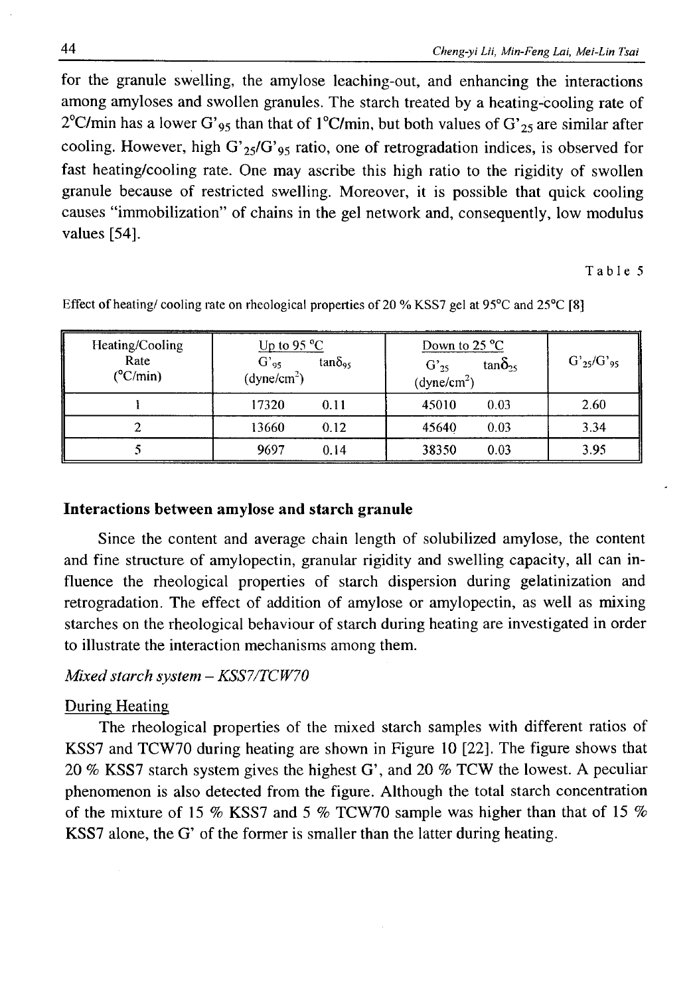for the granule swelling, the amylose leaching-out, and enhancing the interactions among amyloses and swollen granules. The starch treated by a heating-cooling rate of 2<sup>o</sup>C/min has a lower G'<sub>95</sub> than that of 1<sup>o</sup>C/min, but both values of G'<sub>25</sub> are similar after cooling. However, high G'<sub>25</sub>/G'<sub>95</sub> ratio, one of retrogradation indices, is observed for fast heating/cooling rate. One may ascribe this high ratio to the rigidity of swollen granule because of restricted swelling. Moreover, it is possible that quick cooling causes "immobilization" of chains in the gel network and, consequently, low modulus values [54].

**Table 5**

| Heating/Cooling<br>Rate<br>$(^{\circ}C/min)$ | Up to 95 $^{\circ}$ C<br>$G'_{95}$<br>$tan\delta_{.}$<br>(dyne/cm <sup>2</sup> ) | Down to $25^{\circ}$ C<br>$tan\delta_{25}$<br>$G'_{25}$<br>(dyne/cm <sup>2</sup> ) | $G'_{25}/G'_{95}$ |
|----------------------------------------------|----------------------------------------------------------------------------------|------------------------------------------------------------------------------------|-------------------|
|                                              | 17320<br>0.11                                                                    | 45010<br>0.03                                                                      | 2.60              |
|                                              | 13660<br>0.12                                                                    | 0.03<br>45640                                                                      | 3.34              |
|                                              | 9697<br>0.14                                                                     | 38350<br>0.03                                                                      | 3.95              |

Effect of heating/ cooling rate on rheological properties of 20 % KSS7 gel at 95°C and 25°C [8]

## **Interactions between amylose and starch granule**

Since the content and average chain length of solubilized amylose, the content and fine structure of amylopectin, granular rigidity and swelling capacity, all can influence the rheological properties of starch dispersion during gelatinization and retrogradation. The effect of addition of amylose or amylopectin, as well as mixing starches on the rheological behaviour of starch during heating are investigated in order to illustrate the interaction mechanisms among them.

## *Mixed starch system — KSS7/TCW70*

## During Heating

The rheological properties of the mixed starch samples with different ratios of KSS7 and TCW70 during heating are shown in Figure 10 [22]. The figure shows that 20 *%* KSS7 starch system gives the highest G', and 20 *%* TCW the lowest. A peculiar phenomenon is also detected from the figure. Although the total starch concentration of the mixture of 15 % KSS7 and 5 *%* TCW70 sample was higher than that of 15 % KSS7 alone, the G' of the former is smaller than the latter during heating.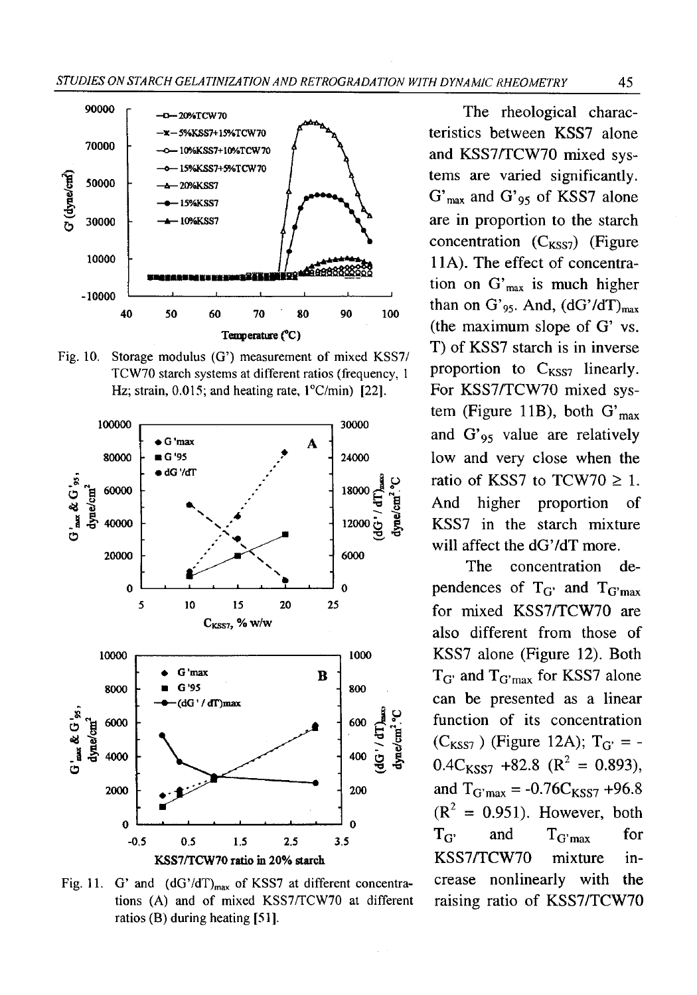

Fig. 10. Storage modulus (G') measurement of mixed KSS7/ **TCW70 starch systems at different ratios (frequency, 1 Hz; strain, 0.015; and heating rate, l°C/min) [22].**



Fig. 11. G' and  $(dG'/dT)_{max}$  of KSS7 at different concentrations (A) and of mixed KSS7/TCW70 at different **ratios (B) during heating [51].**

The rheological characteristics between KSS7 alone and KSS7/TCW70 mixed systems are varied significantly.  $G'_{max}$  and  $G'_{95}$  of KSS7 alone are in proportion to the starch concentration  $(C_{KSS7})$  (Figure 11A). The effect of concentration on  $G'_{max}$  is much higher than on G'<sub>95</sub>. And,  $(dG'/dT)_{max}$ (the maximum slope of G' vs. T) of KSS7 starch is in inverse proportion to  $C_{KSS7}$  linearly. For KSS7/TCW70 mixed system (Figure 11B), both  $G'_{max}$ and  $G'_{95}$  value are relatively low and very close when the ratio of KSS7 to TCW70  $\geq$  1. And higher proportion of KSS7 in the starch mixture will affect the dG'/dT more.

The concentration dependences of  $T_{G'}$  and  $T_{G'max}$ for mixed KSS7/TCW70 are also different from those of KSS7 alone (Figure 12). Both  $T_{G'}$  and  $T_{G'max}$  for KSS7 alone can be presented as a linear function of its concentration  $(C_{KSS7})$  (Figure 12A);  $T_{G'} = 0.4 C_{KSS7} + 82.8 (R^2 = 0.893),$ and  $T_{G'max} = -0.76C_{KSS7} +96.8$  $(R<sup>2</sup> = 0.951)$ . However, both  $T_{G'}$  and  $T_{G'max}$  for KSS7/TCW70 mixture increase nonlinearly with the raising ratio of KSS7/TCW70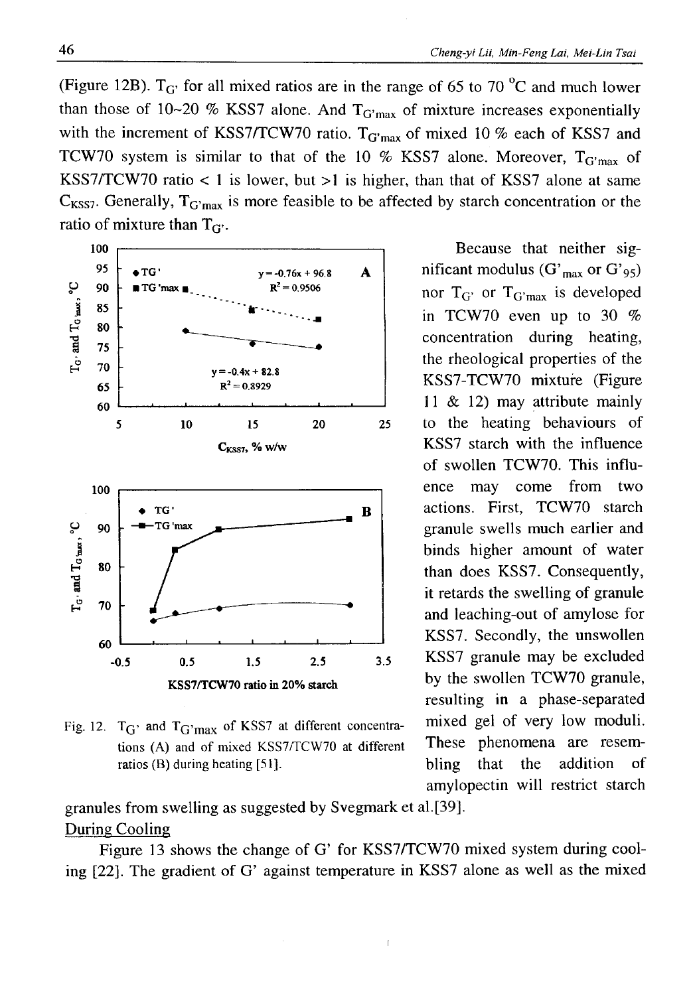(Figure 12B).  $T_{\text{G}}$  for all mixed ratios are in the range of 65 to 70  $^{\circ}$ C and much lower than those of 10~20 % KSS7 alone. And  $T_{G'max}$  of mixture increases exponentially with the increment of KSS7/TCW70 ratio.  $T_{G'max}$  of mixed 10 % each of KSS7 and TCW70 system is similar to that of the 10  $%$  KSS7 alone. Moreover, T<sub>G'max</sub> of KSS7/TCW70 ratio  $< 1$  is lower, but  $>1$  is higher, than that of KSS7 alone at same  $C_{KSS7}$ . Generally,  $T_{G'max}$  is more feasible to be affected by starch concentration or the ratio of mixture than  $T_{G'}$ .



Fig. 12.  $T_G$  and  $T_G$  max of KSS7 at different concentra- mixed gel of very low moduli. tions (A) and of mixed KSS7/TCW70 at different **These** phenomena are resem**ratios (B) during heating [51].** bling that the addition of

granules from swelling as suggested by Svegmark et al.[39]. During Cooling

Figure 13 shows the change of G' for KSS7/TCW70 mixed system during cooling [22], The gradient of G' against temperature in KSS7 alone as well as the mixed

i

Because that neither significant modulus  $(G'_{max}$  or  $G'_{95})$ nor  $T_{G'}$  or  $T_{G'max}$  is developed in TCW70 even up to 30 *%* concentration during heating, the rheological properties of the KSS7-TCW70 mixture (Figure 11 & 12) may attribute mainly to the heating behaviours of KSS7 starch with the influence of swollen TCW70. This influence may come from two actions. First, TCW70 starch granule swells much earlier and binds higher amount of water than does KSS7. Consequently, it retards the swelling of granule and leaching-out of amylose for KSS7. Secondly, the unswollen KSS7 granule may be excluded by the swollen TCW70 granule, resulting in a phase-separated amylopectin will restrict starch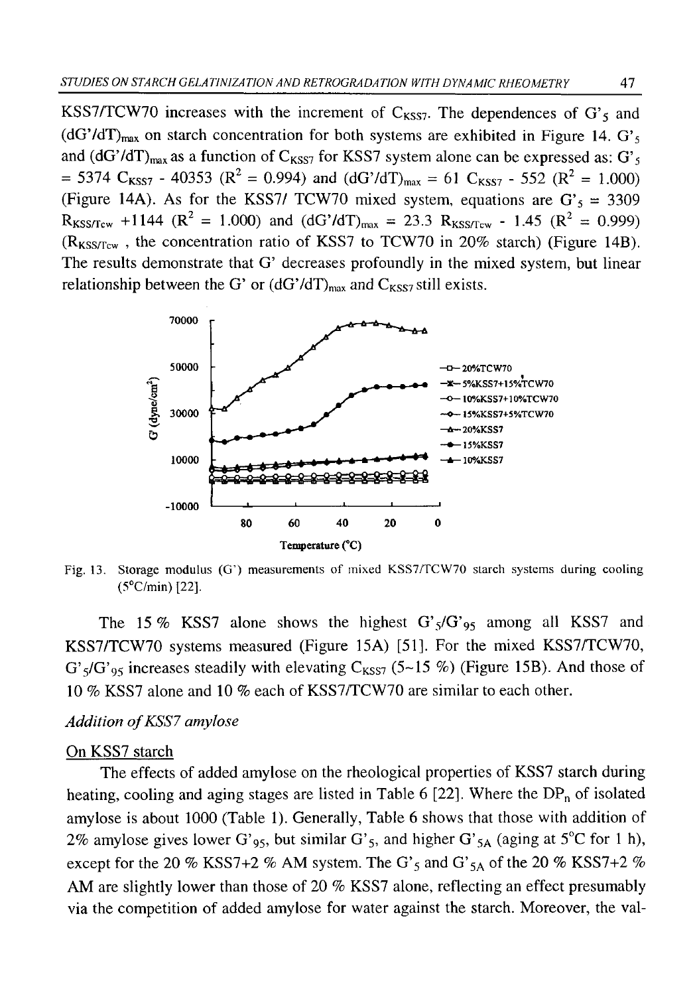KSS7/TCW70 increases with the increment of  $C_{KST}$ . The dependences of G's and  $(dG'/dT)_{max}$  on starch concentration for both systems are exhibited in Figure 14.  $G'$ and  $(dG'/dT)_{max}$  as a function of  $C_{KSS7}$  for KSS7 system alone can be expressed as:  $G'_{5}$  $= 5374 \text{ C}_{KSS7}$  - 40353 ( $\mathbb{R}^2 = 0.994$ ) and (dG'/dT)<sub>max</sub> = 61 C<sub>KSS7</sub> - 552 ( $\mathbb{R}^2 = 1.000$ ) (Figure 14A). As for the KSS7/ TCW70 mixed system, equations are  $G<sub>5</sub> = 3309$  $R_{KSS/Tcw}$  +1144 ( $R^2$  = 1.000) and (dG'/dT)<sub>max</sub> = 23.3  $R_{KSS/Tcw}$  - 1.45 ( $R^2$  = 0.999) **( R kss/tcw ,** the concentration ratio of KSS7 to TCW70 in 20% starch) (Figure 14B). The results demonstrate that G' decreases profoundly in the mixed system, but linear relationship between the G' or  $(dG'/dT)_{max}$  and  $C_{KSS7}$  still exists.



Fig. 13. Storage modulus (G') measurements of mixed KSS7/TCW70 starch systems during cooling **(5°C/min) [**2 2 **],**

The 15 % KSS7 alone shows the highest  $G' <sub>5</sub>/G' <sub>95</sub>$  among all KSS7 and KSS7/TCW70 systems measured (Figure 15A) [51]. For the mixed KSS7/TCW70,  $G'_{5}/G'_{95}$  increases steadily with elevating  $C_{KSS7}$  (5~15 %) (Figure 15B). And those of 10 *%* KSS7 alone and 10 *%* each of KSS7/TCW70 are similar to each other.

### Addition of KSS7 amylose

## On KSS7 starch

The effects of added amylose on the rheological properties of KSS7 starch during heating, cooling and aging stages are listed in Table 6 [22]. Where the  $DP_n$  of isolated amylose is about 1000 (Table 1). Generally, Table 6 shows that those with addition of 2% amylose gives lower G'<sub>95</sub>, but similar G'<sub>5</sub>, and higher G'<sub>5A</sub> (aging at 5<sup>°</sup>C for 1 h), except for the 20 % KSS7+2 % AM system. The G'<sub>5</sub> and G'<sub>5A</sub> of the 20 % KSS7+2 % AM are slightly lower than those of 20 *%* KSS7 alone, reflecting an effect presumably via the competition of added amylose for water against the starch. Moreover, the val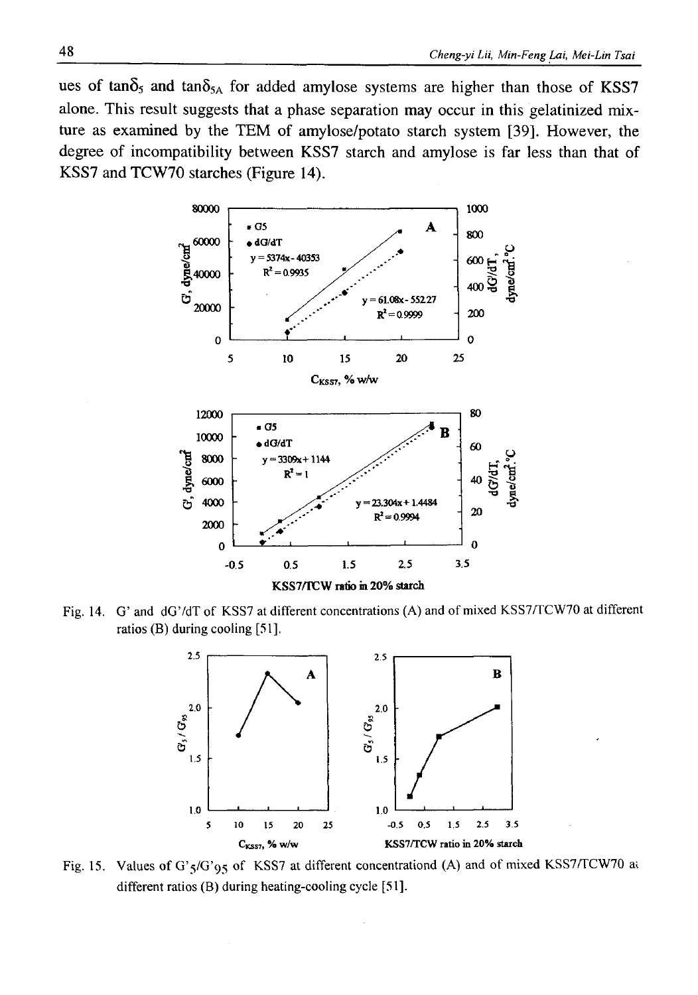ues of tan $\delta_5$  and tan $\delta_{5A}$  for added amylose systems are higher than those of KSS7 alone. This result suggests that a phase separation may occur in this gelatinized mixture as examined by the TEM of amylose/potato starch system [39]. However, the degree of incompatibility between KSS7 starch and amylose is far less than that of KSS7 and TCW70 starches (Figure 14).



**Fig. 14. G' and dG'/dT of KSS7 at different concentrations (A) and of mixed KSS7/TCW70 at different ratios (B) during cooling [51].**



Fig. 15. Values of  $G^2S/G'$  of KSS7 at different concentrationd (A) and of mixed KSS7/TCW70 at **different ratios (B) during heating-cooling cycle [51].**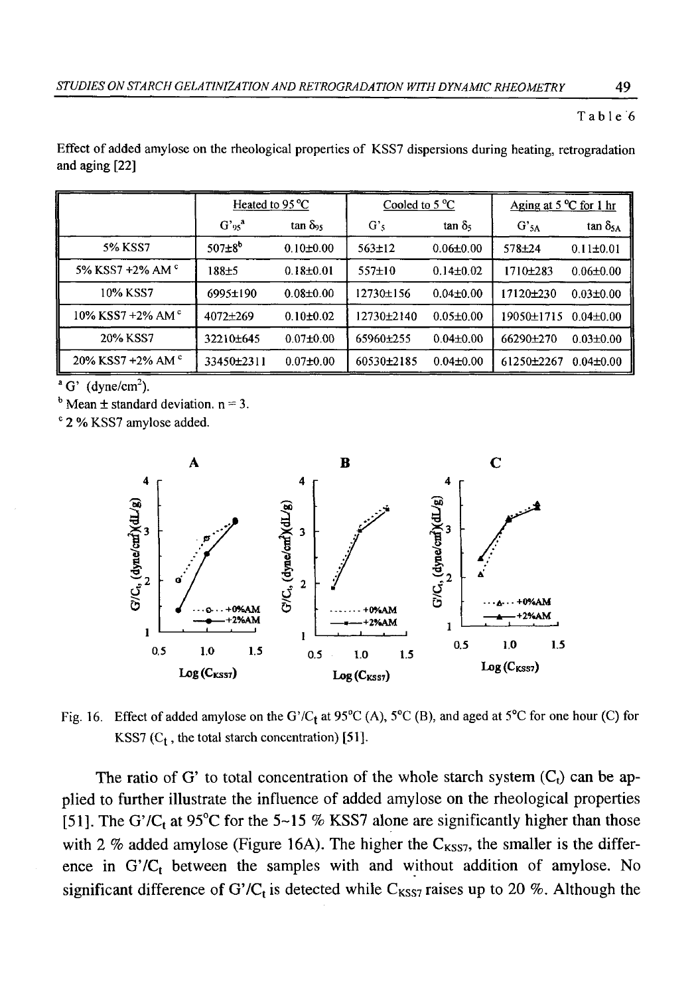### **Table** <sup>6</sup>

| Effect of added amylose on the rheological properties of KSS7 dispersions during heating, retrogradation |  |  |  |  |  |
|----------------------------------------------------------------------------------------------------------|--|--|--|--|--|
| and aging [22]                                                                                           |  |  |  |  |  |

|                           | Heated to 95 °C      |                     | Cooled to $5^{\circ}$ C |                 | Aging at $5^{\circ}$ C for 1 hr |                    |
|---------------------------|----------------------|---------------------|-------------------------|-----------------|---------------------------------|--------------------|
|                           | $G'$ 95 <sup>a</sup> | tan δ <sub>95</sub> | G's                     | $\tan \delta_5$ | $G'_{5A}$                       | $\tan \delta_{5A}$ |
| 5% KSS7                   | $507 \pm 8^{6}$      | $0.10 \pm 0.00$     | $563 \pm 12$            | $0.06 \pm 0.00$ | $578 + 24$                      | $0.11 \pm 0.01$    |
| 5% KSS7 +2% AM °          | 188±5                | $0.18 \pm 0.01$     | $557+10$                | $0.14 \pm 0.02$ | 1710±283                        | $0.06 \pm 0.00$    |
| 10% KSS7                  | 6995±190             | $0.08 \pm 0.00$     | 12730±156               | $0.04 \pm 0.00$ | 17120±230                       | $0.03 \pm 0.00$    |
| 10% KSS7 +2% AM $\degree$ | $4072 + 269$         | $0.10 \pm 0.02$     | 12730±2140              | $0.05 \pm 0.00$ | 19050±1715                      | $0.04 \pm 0.00$    |
| 20% KSS7                  | 32210±645            | $0.07 \pm 0.00$     | 65960±255               | $0.04 \pm 0.00$ | 66290±270                       | $0.03 \pm 0.00$    |
| 20% KSS7 +2% AM $\degree$ | 33450±2311           | $0.07 \pm 0.00$     | 60530±2185              | $0.04 \pm 0.00$ | 61250±2267                      | $0.04 \pm 0.00$    |

 $\alpha$  G' (dyne/cm<sup>2</sup>).

 $<sup>b</sup>$  Mean  $\pm$  standard deviation, n = 3.</sup>

**c 2 % KSS7 amylose added.**



Fig. 16. Effect of added amylose on the G'/C<sub>t</sub> at 95<sup>o</sup>C (A), 5<sup>o</sup>C (B), and aged at 5<sup>o</sup>C for one hour (C) for KSS7  $(C_t$ , the total starch concentration) [51].

The ratio of G' to total concentration of the whole starch system  $(C_t)$  can be applied to further illustrate the influence of added amylose on the rheological properties [51]. The G'/C<sub>t</sub> at 95<sup>o</sup>C for the 5~15 % KSS7 alone are significantly higher than those with 2 % added amylose (Figure 16A). The higher the  $C_{KSS7}$ , the smaller is the difference in  $G'/C_t$  between the samples with and without addition of amylose. No significant difference of G'/C<sub>t</sub> is detected while C<sub>KSS7</sub> raises up to 20 %. Although the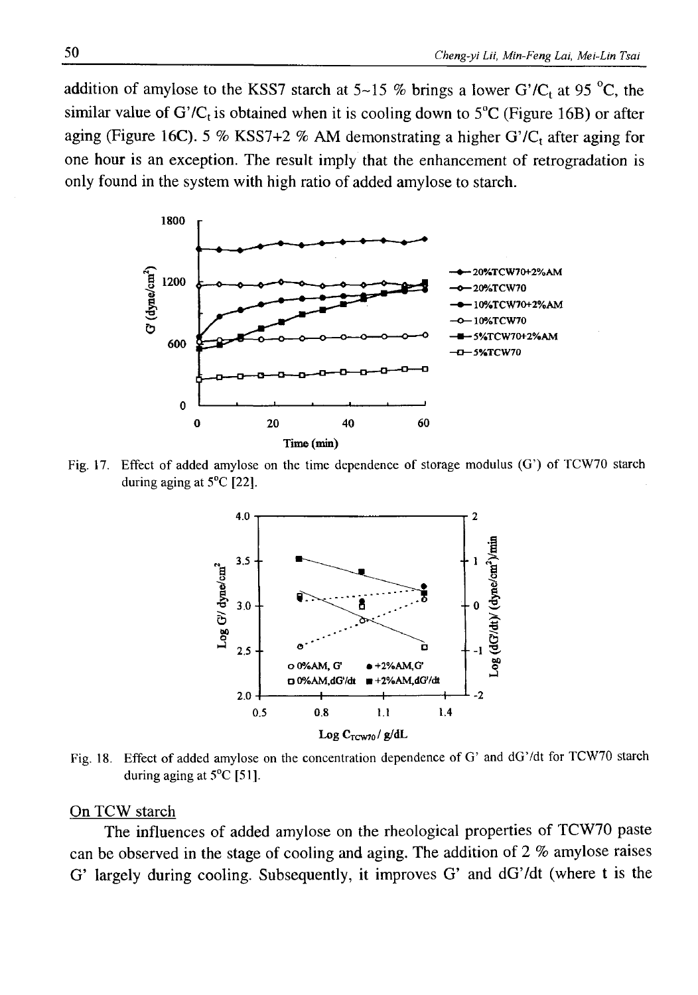addition of amylose to the KSS7 starch at  $5{\sim}15$  % brings a lower G'/C<sub>t</sub> at 95 °C, the similar value of  $G'/C_t$  is obtained when it is cooling down to  $5^{\circ}C$  (Figure 16B) or after aging (Figure 16C). 5 % KSS7+2 % AM demonstrating a higher G'/ $C_t$  after aging for one hour is an exception. The result imply that the enhancement of retrogradation is only found in the system with high ratio of added amylose to starch.



Fig. 17. Effect of added amylose on the time dependence of storage modulus (G') of TCW70 starch **during aging at 5°C [22],**



**Fig. 18. Effect of added amylose on the concentration dependence of G' and dG'/dt for TCW70 starch during aging at 5°C [51].**

## On TCW starch

The influences of added amylose on the rheological properties of TCW70 paste can be observed in the stage of cooling and aging. The addition of 2 % amylose raises G' largely during cooling. Subsequently, it improves G' and dG'/dt (where t is the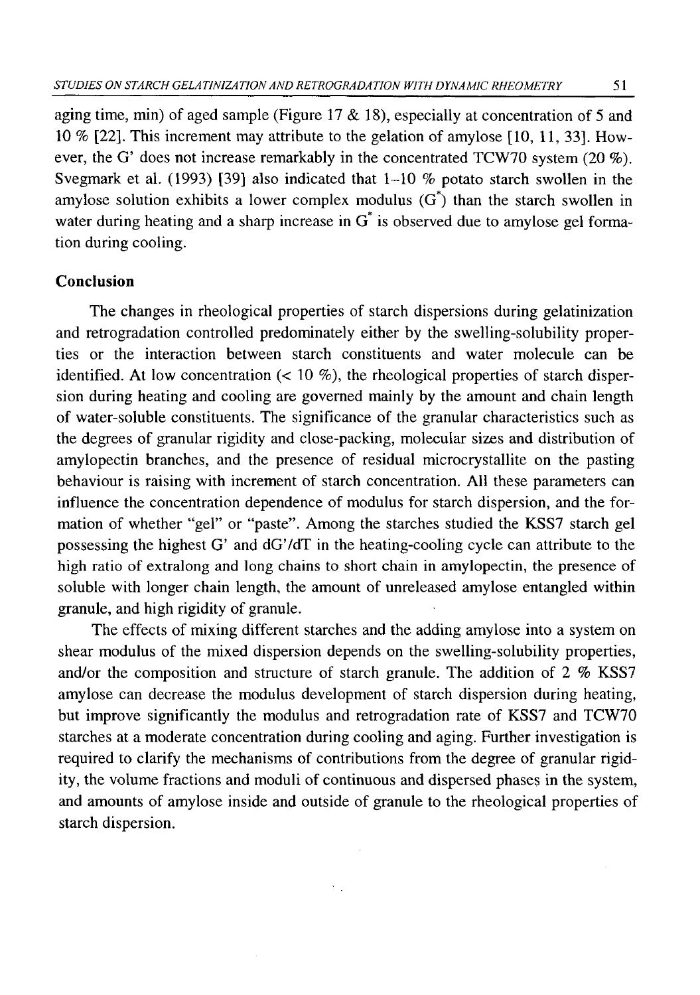aging time, min) of aged sample (Figure 17 & 18), especially at concentration of 5 and 10 *%* [22]. This increment may attribute to the gelation of amylose [10, 11, 33]. However, the G' does not increase remarkably in the concentrated TCW70 system (20 %). Svegmark et al. (1993) [39] also indicated that 1-10 *%* potato starch swollen in the amylose solution exhibits a lower complex modulus  $(G^*)$  than the starch swollen in water during heating and a sharp increase in  $G^*$  is observed due to amylose gel formation during cooling.

### **Conclusion**

The changes in rheological properties of starch dispersions during gelatinization and retrogradation controlled predominately either by the swelling-solubility properties or the interaction between starch constituents and water molecule can be identified. At low concentration  $(10 \%)$ , the rheological properties of starch dispersion during heating and cooling are governed mainly by the amount and chain length of water-soluble constituents. The significance of the granular characteristics such as the degrees of granular rigidity and close-packing, molecular sizes and distribution of amylopectin branches, and the presence of residual microcrystallite on the pasting behaviour is raising with increment of starch concentration. All these parameters can influence the concentration dependence of modulus for starch dispersion, and the formation of whether "gel" or "paste". Among the starches studied the KSS7 starch gel possessing the highest G' and dG'/dT in the heating-cooling cycle can attribute to the high ratio of extralong and long chains to short chain in amylopectin, the presence of soluble with longer chain length, the amount of unreleased amylose entangled within granule, and high rigidity of granule.

The effects of mixing different starches and the adding amylose into a system on shear modulus of the mixed dispersion depends on the swelling-solubility properties, and/or the composition and structure of starch granule. The addition of 2 % KSS7 amylose can decrease the modulus development of starch dispersion during heating, but improve significantly the modulus and retrogradation rate of KSS7 and TCW70 starches at a moderate concentration during cooling and aging. Further investigation is required to clarify the mechanisms of contributions from the degree of granular rigidity, the volume fractions and moduli of continuous and dispersed phases in the system, and amounts of amylose inside and outside of granule to the rheological properties of starch dispersion.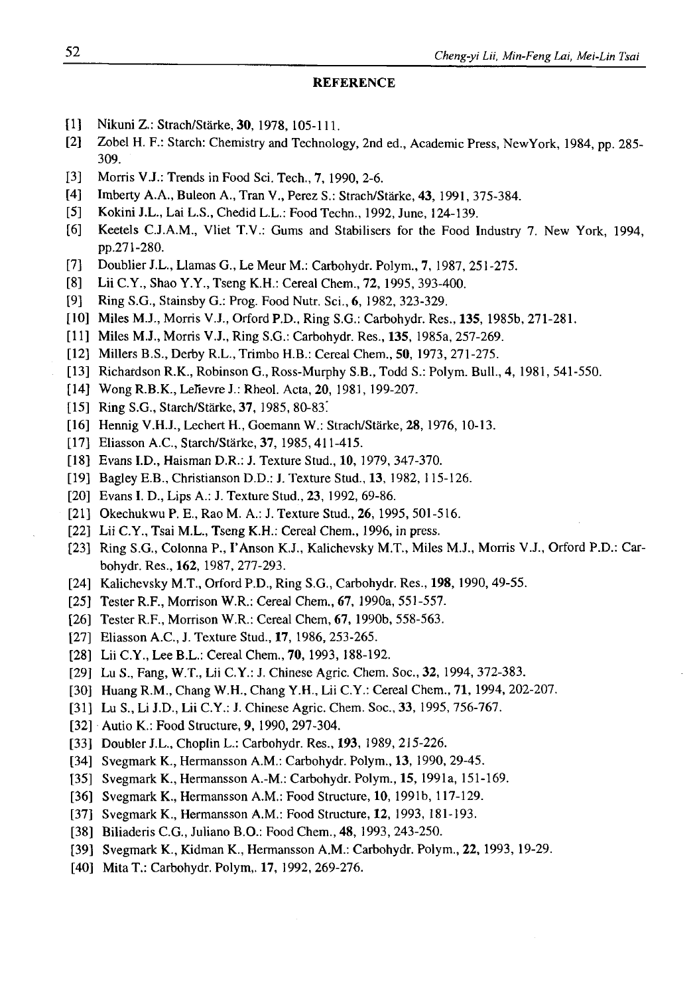#### **REFERENCE**

- **[ 1 ] Nikuni Z.: Strach/Starkę, 30, 1978, 105-111.**
- **[2] Zobel H. F.: Starch: Chemistry and Technology, 2nd ed., Academic Press, NewYork, 1984, pp. 285- 309.**
- **[3] Morris V.J.: Trends in Food Sci. Tech., 7, 1990, 2-6.**
- **[4] Imberty A.A., Buleon A., Tran V., Perez S.: Strach/Starke, 43, 1991, 375-384.**
- **[5] Kokini J.L., Lai L.S., Chedid L.L.: Food Techn., 1992, June, 124-139.**
- **[6] Keetels C.J.A.M., Vliet T.V.: Gums and Stabilisers for the Food Industry 7. New York, 1994, pp.271-280.**
- **[7] Doublier J.L., Llamas G., Le Meur M.: Carbohydr. Polym., 7, 1987, 251-275.**
- **[8] Lii C.Y., Shao Y.Y., Tseng K.H.: Cereal Chem., 72, 1995, 393-400.**
- **[9] Ring S.G., Stainsby G.: Prog. Food Nutr. Sci., 6, 1982, 323-329.**
- **[10] Miles M.J., Morris V.J., Orford P.D., Ring S.G.: Carbohydr. Res., 135, 1985b, 271-281.**
- **[11] Miles M.J., Morris V.J., Ring S.G.: Carbohydr. Res., 135, 1985a, 257-269.**
- **[12] Millers B.S., Derby R.L., Trimbo H.B.: Cereal Chem., 50, 1973, 271-275.**
- **[13] Richardson R.K., Robinson G., Ross-Murphy S.B., Todd S.: Polym. Bull., 4, 1981, 541-550.**
- **[14] Wong R.B.K., Lefievre J.: Rheol. Acta, 20, 1981, 199-207.**
- **[15] Ring S.G., Starch/Starke, 37, 1985, 80-83!**
- **[16] Hennig V.H.J., Lechert H., Goemann W.: Strach/Starke, 28, 1976, 10-13.**
- **[17] Eliasson A.C., Starch/Starke, 37, 1985, 411-415.**
- **[18] Evans I.D., Haisman D.R.: J. Texture Stud., 10, 1979, 347-370.**
- **[19] Bagley E.B., Christianson D.D.: J. Texture Stud., 13, 1982, 115-126.**
- **[20] Evans I. D., Lips A.: J. Texture Stud., 23, 1992, 69-86.**
- **[21] Okechukwu P. E., Rao M. A.: J. Texture Stud., 26, 1995, 501-516.**
- **[22] Lii C.Y., Tsai M.L., Tseng K.H.: Cereal Chem., 1996, in press.**
- **[23] Ring S.G., Colonna P., I'Anson K.J., Kalichevsky M.T., Miles M.J., Morris V.J., Orford P.D.: Carbohydr. Res., 162, 1987, 277-293.**
- **[24] Kalichevsky M.T., Orford P.D., Ring S.G., Carbohydr. Res., 198, 1990, 49-55.**
- **[25] Tester R.F., Morrison W.R.: Cereal Chem., 67, 1990a, 551-557.**
- **[26] Tester R.F., Morrison W.R.: Cereal Chem, 67, 1990b, 558-563.**
- **[27] Eliasson A.C., J. Texture Stud., 17, 1986, 253-265.**
- **[28] Lii C.Y., Lee B.L.: Cereal Chem., 70, 1993, 188-192.**
- **[29] Lu S., Fang, W.T., Lii C.Y.: J. Chinese Agric. Chem. Soc., 32, 1994, 372-383.**
- **[30] Huang R.M., Chang W.H., Chang Y.H., Lii C.Y.: Cereal Chem., 71, 1994, 202-207.**
- **[31] Lu S., Li J.D., Lii C.Y.: J. Chinese Agric. Chem. Soc., 33, 1995, 756-767.**
- **[32] Autio K.: Food Structure, 9, 1990, 297-304.**
- **[33] Doubler J.L., Choplin L.: Carbohydr. Res., 193, 1989,** *215-226.*
- **[34] Svegmark K., Hermansson A.M.: Carbohydr. Polym., 13, 1990, 29-45.**
- **[35] Svegmark K., Hermansson A.-M.: Carbohydr. Polym., 15, 1991a, 151-169.**
- **[36] Svegmark K., Hermansson A.M.: Food Structure, 10, 1991b, 117-129.**
- **[37] Svegmark K., Hermansson A.M.: Food Structure, 12, 1993, 181-193.**
- **[38] Biliaderis C.G., Juliano B.O.: Food Chem., 48, 1993, 243-250.**
- **[39] Svegmark K., Kidman K., Hermansson A.M.: Carbohydr. Polym., 22, 1993, 19-29.**
- **[40] MitaT.: Carbohydr. Polym,. 17, 1992, 269-276.**